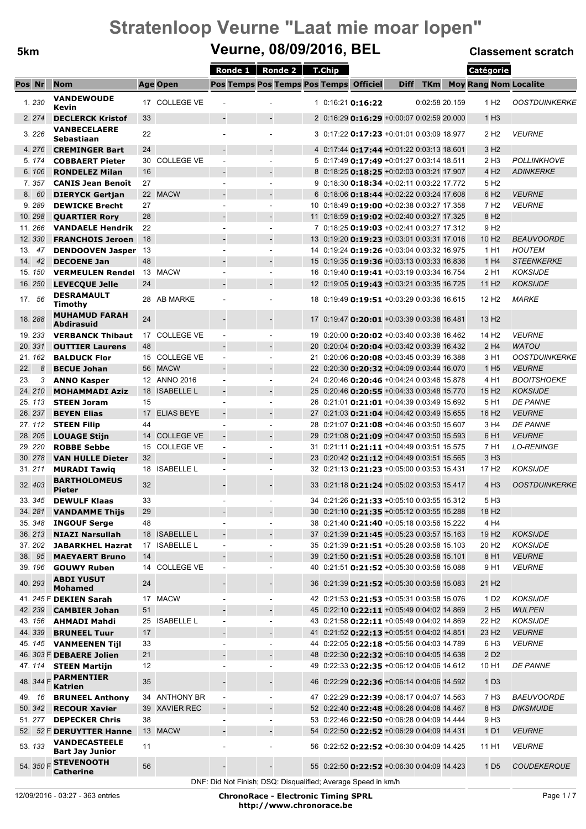### **5km Veurne, 08/09/2016, BEL Classement scratch**

 $\overline{\phantom{0}}$ 

|        |        |                                                |          |                   |                                                               | Ronde 1   Ronde 2   T.Chip                 |                                                   |                                                  |             |                | Catégorie                    |                                    |
|--------|--------|------------------------------------------------|----------|-------------------|---------------------------------------------------------------|--------------------------------------------|---------------------------------------------------|--------------------------------------------------|-------------|----------------|------------------------------|------------------------------------|
| Pos Nr |        | <b>Nom</b>                                     |          | <b>Age Open</b>   |                                                               |                                            | Pos Temps Pos Temps Pos Temps Officiel            |                                                  | <b>Diff</b> | <b>TKm</b>     | <b>Moy Rang Nom Localite</b> |                                    |
|        | 1.230  | <b>VANDEWOUDE</b><br>Kevin                     |          | 17 COLLEGE VE     |                                                               |                                            | $1$ 0:16:21 <b>0:16:22</b>                        |                                                  |             | 0:02:58 20.159 | 1 H <sub>2</sub>             | <b>OOSTDUINKERKE</b>               |
|        | 2.274  | <b>DECLERCK Kristof</b>                        | 33       |                   |                                                               | $\overline{\phantom{a}}$                   | 2 0:16:29 <b>0:16:29</b> +0:00:07 0:02:59 20.000  |                                                  |             |                | 1H3                          |                                    |
|        | 3.226  | <b>VANBECELAERE</b><br>Sebastiaan              | 22       |                   | $\blacksquare$                                                |                                            |                                                   | 3 0:17:22 0:17:23 +0:01:01 0:03:09 18.977        |             |                | 2 H <sub>2</sub>             | <b>VEURNE</b>                      |
|        | 4.276  | <b>CREMINGER Bart</b>                          | 24       |                   | $\overline{\phantom{a}}$                                      |                                            | 4 0:17:44 <b>0:17:44</b> + 0:01:22 0:03:13 18.601 |                                                  |             |                | 3 H <sub>2</sub>             |                                    |
|        | 5.174  | <b>COBBAERT Pieter</b>                         | 30       | <b>COLLEGE VE</b> | $\overline{\phantom{a}}$                                      |                                            | 5 0:17:49 0:17:49 +0:01:27 0:03:14 18.511         |                                                  |             |                | 2 H <sub>3</sub>             | <b>POLLINKHOVE</b>                 |
|        | 6.106  | <b>RONDELEZ Milan</b>                          | 16       |                   | $\blacksquare$                                                |                                            | 8 0:18:25 0:18:25 +0:02:03 0:03:21 17.907         |                                                  |             |                | 4 H <sub>2</sub>             | <b>ADINKERKE</b>                   |
|        | 7.357  | <b>CANIS Jean Benoît</b>                       | 27       |                   |                                                               | $\overline{\phantom{a}}$                   |                                                   | 9 0:18:30 0:18:34 +0:02:11 0:03:22 17.772        |             |                | 5 H <sub>2</sub>             |                                    |
|        | 8.60   | <b>DIERYCK Gertjan</b>                         |          | 22 MACW           | $\blacksquare$                                                |                                            |                                                   | 6 0:18:06 <b>0:18:44</b> +0:02:22 0:03:24 17.608 |             |                | 6 H <sub>2</sub>             | <b>VEURNE</b>                      |
|        | 9.289  | <b>DEWICKE Brecht</b>                          | 27       |                   | $\overline{\phantom{a}}$                                      | $\overline{\phantom{a}}$                   | 10 0:18:49 0:19:00 +0:02:38 0:03:27 17.358        |                                                  |             |                | 7 H <sub>2</sub>             | <b>VEURNE</b>                      |
|        | 10.298 | <b>QUARTIER Rory</b>                           | 28       |                   |                                                               |                                            | 11 0:18:59 0:19:02 +0:02:40 0:03:27 17.325        |                                                  |             |                | 8 H <sub>2</sub>             |                                    |
|        | 11.266 | <b>VANDAELE Hendrik</b>                        | 22       |                   |                                                               | $\overline{\phantom{a}}$                   | 7 0:18:25 <b>0:19:03</b> +0:02:41 0:03:27 17.312  |                                                  |             |                | 9 H <sub>2</sub>             |                                    |
|        | 12.330 | <b>FRANCHOIS Jeroen</b>                        | 18       |                   |                                                               |                                            | 13 0:19:20 0:19:23 +0:03:01 0:03:31 17.016        |                                                  |             |                | 10 H <sub>2</sub>            | <b>BEAUVOORDE</b>                  |
|        | 13. 47 | <b>DENDOOVEN Jasper 13</b>                     |          |                   | $\sim$                                                        | $\sim$                                     | 14 0:19:24 0:19:26 +0:03:04 0:03:32 16.975        |                                                  |             |                | 1 H1                         | <b>HOUTEM</b>                      |
|        | 14. 42 | <b>DECOENE Jan</b>                             | 48       |                   |                                                               |                                            | 15 0:19:35 0:19:36 +0:03:13 0:03:33 16.836        |                                                  |             |                | 1 H <sub>4</sub>             | <b>STEENKERKE</b>                  |
|        | 15.150 | <b>VERMEULEN Rendel</b>                        | 24       | 13 MACW           | $\sim$                                                        | $\blacksquare$<br>$\overline{\phantom{0}}$ | 16 0:19:40 <b>0:19:41</b> +0:03:19 0:03:34 16.754 |                                                  |             |                | 2 H1<br>11 H <sub>2</sub>    | <b>KOKSIJDE</b><br><b>KOKSIJDE</b> |
|        | 16.250 | <b>LEVECOUE Jelle</b>                          |          |                   | $\blacksquare$                                                |                                            | 12 0:19:05 0:19:43 +0:03:21 0:03:35 16.725        |                                                  |             |                |                              |                                    |
|        | 17. 56 | <b>DESRAMAULT</b><br><b>Timothy</b>            |          | 28 AB MARKE       | $\overline{\phantom{a}}$                                      | $\overline{\phantom{a}}$                   | 18 0:19:49 0:19:51 +0:03:29 0:03:36 16.615        |                                                  |             |                | 12 H <sub>2</sub>            | <b>MARKE</b>                       |
|        | 18.288 | <b>MUHAMUD FARAH</b><br><b>Abdirasuid</b>      | 24       |                   |                                                               |                                            | 17 0:19:47 0:20:01 +0:03:39 0:03:38 16.481        |                                                  |             |                | 13 H <sub>2</sub>            |                                    |
|        | 19.233 | <b>VERBANCK Thibaut</b>                        |          | 17 COLLEGE VE     | $\blacksquare$                                                | $\blacksquare$                             | 19 0:20:00 0:20:02 +0:03:40 0:03:38 16.462        |                                                  |             |                | 14 H <sub>2</sub>            | <b>VEURNE</b>                      |
|        | 20.331 | <b>OUTTIER Laurens</b>                         | 48       |                   |                                                               |                                            | 20 0:20:04 0:20:04 +0:03:42 0:03:39 16.432        |                                                  |             |                | 2 H4                         | <b>WATOU</b>                       |
|        | 21.162 | <b>BALDUCK Flor</b>                            |          | 15 COLLEGE VE     | $\sim$                                                        | ÷.                                         | 21 0:20:06 0:20:08 +0:03:45 0:03:39 16.388        |                                                  |             |                | 3 H1                         | <b>OOSTDUINKERKE</b>               |
| 22.    | 8      | <b>BECUE Johan</b>                             |          | 56 MACW           | $\overline{\phantom{a}}$                                      |                                            | 22 0:20:30 0:20:32 +0:04:09 0:03:44 16.070        |                                                  |             |                | 1 H <sub>5</sub>             | <b>VEURNE</b>                      |
| 23.    | 3      | <b>ANNO Kasper</b>                             |          | 12 ANNO 2016      | $\overline{\phantom{a}}$                                      | $\overline{\phantom{a}}$                   | 24 0:20:46 0:20:46 +0:04:24 0:03:46 15.878        |                                                  |             |                | 4 H1                         | <b>BOOITSHOEKE</b>                 |
|        | 24.210 | <b>MOHAMMADI Aziz</b>                          | 18       | <b>ISABELLE L</b> | $\overline{\phantom{a}}$                                      |                                            | 25 0:20:46 0:20:55 +0:04:33 0:03:48 15.770        |                                                  |             |                | 15 H <sub>2</sub>            | <b>KOKSIJDE</b>                    |
|        | 25.113 | <b>STEEN Joram</b>                             | 15       |                   | ä,                                                            | $\blacksquare$                             | 26 0:21:01 <b>0:21:01</b> +0:04:39 0:03:49 15.692 |                                                  |             |                | 5 H1                         | <b>DE PANNE</b>                    |
|        | 26.237 | <b>BEYEN Elias</b>                             | 17       | <b>ELIAS BEYE</b> |                                                               |                                            | 27 0:21:03 0:21:04 +0:04:42 0:03:49 15.655        |                                                  |             |                | 16 H <sub>2</sub>            | <b>VEURNE</b>                      |
|        | 27.112 | <b>STEEN Filip</b>                             | 44       |                   | ä,                                                            | $\overline{\phantom{a}}$                   | 28 0:21:07 0:21:08 +0:04:46 0:03:50 15.607        |                                                  |             |                | 3 H4                         | <b>DE PANNE</b>                    |
|        | 28.205 | <b>LOUAGE Stijn</b>                            | 14       | <b>COLLEGE VE</b> | $\overline{\phantom{a}}$                                      |                                            | 29 0:21:08 0:21:09 +0:04:47 0:03:50 15.593        |                                                  |             |                | 6 H1                         | <b>VEURNE</b>                      |
|        | 29.220 | <b>ROBBE Sebbe</b>                             | 15       | <b>COLLEGE VE</b> | $\overline{\phantom{a}}$                                      | $\blacksquare$                             | 31 0:21:11 <b>0:21:11</b> +0:04:49 0:03:51 15.575 |                                                  |             |                | 7 H1                         | <b>LO-RENINGE</b>                  |
|        | 30.278 | <b>VAN HULLE Dieter</b>                        | 32<br>18 |                   | ä,                                                            | ä,                                         | 23 0:20:42 0:21:12 +0:04:49 0:03:51 15.565        |                                                  |             |                | 3H3                          |                                    |
|        | 31.211 | <b>MURADI Tawiq</b>                            |          | <b>ISABELLE L</b> |                                                               |                                            | 32 0:21:13 0:21:23 +0:05:00 0:03:53 15.431        |                                                  |             |                | 17 H <sub>2</sub>            | <b>KOKSIJDE</b>                    |
|        | 32.403 | <b>BARTHOLOMEUS</b><br><b>Pieter</b>           | 32       |                   |                                                               |                                            | 33 0:21:18 0:21:24 +0:05:02 0:03:53 15.417        |                                                  |             |                | 4 H <sub>3</sub>             | <b>OOSTDUINKERKE</b>               |
|        | 33.345 | <b>DEWULF Klaas</b>                            | 33       |                   |                                                               |                                            | 34 0:21:26 0:21:33 +0:05:10 0:03:55 15.312        |                                                  |             |                | 5 H <sub>3</sub>             |                                    |
|        | 34.281 | <b>VANDAMME Thijs</b>                          | 29       |                   | -                                                             | ۳.                                         | 30 0:21:10 0:21:35 +0:05:12 0:03:55 15.288        |                                                  |             |                | 18 H <sub>2</sub>            |                                    |
|        | 35.348 | <b>INGOUF Serge</b>                            | 48       |                   |                                                               | $\overline{\phantom{a}}$                   | 38 0:21:40 0:21:40 +0:05:18 0:03:56 15.222        |                                                  |             |                | 4 H4                         |                                    |
|        | 36.213 | <b>NIAZI Narsullah</b>                         |          | 18 ISABELLE L     | $\overline{\phantom{a}}$                                      | $\overline{a}$                             | 37 0:21:39 0:21:45 +0:05:23 0:03:57 15.163        |                                                  |             |                | 19 H <sub>2</sub>            | <b>KOKSIJDE</b>                    |
|        | 37.202 | <b>JABARKHEL Hazrat</b>                        | 17       | <b>ISABELLE L</b> | $\overline{\phantom{a}}$                                      | $\overline{\phantom{a}}$                   | 35 0:21:39 0:21:51 +0:05:28 0:03:58 15.103        |                                                  |             |                | 20 H <sub>2</sub>            | <b>KOKSIJDE</b>                    |
|        | 38. 95 | <b>MAEYAERT Bruno</b>                          | 14       |                   | $\qquad \qquad \blacksquare$                                  | $\overline{\phantom{a}}$                   | 39 0:21:50 0:21:51 +0:05:28 0:03:58 15.101        |                                                  |             |                | 8 H1                         | <b>VEURNE</b>                      |
|        | 39.196 | <b>GOUWY Ruben</b>                             | 14       | <b>COLLEGE VE</b> | ÷,                                                            | $\overline{\phantom{a}}$                   | 40 0:21:51 <b>0:21:52</b> +0:05:30 0:03:58 15.088 |                                                  |             |                | 9 H1                         | <b>VEURNE</b>                      |
|        | 40.293 | <b>ABDI YUSUT</b><br><b>Mohamed</b>            | 24       |                   |                                                               | -                                          | 36 0:21:39 0:21:52 +0:05:30 0:03:58 15.083        |                                                  |             |                | 21 H <sub>2</sub>            |                                    |
|        |        | 41. 245 F DEKIEN Sarah                         |          | 17 MACW           | $\overline{\phantom{a}}$                                      | $\overline{\phantom{a}}$                   | 42 0:21:53 0:21:53 +0:05:31 0:03:58 15.076        |                                                  |             |                | 1 D <sub>2</sub>             | <b>KOKSIJDE</b>                    |
|        | 42.239 | <b>CAMBIER Johan</b>                           | 51       |                   | $\overline{\phantom{a}}$                                      | $\overline{a}$                             | 45 0:22:10 <b>0:22:11</b> +0:05:49 0:04:02 14.869 |                                                  |             |                | 2 H <sub>5</sub>             | <b>WULPEN</b>                      |
|        | 43.156 | <b>AHMADI Mahdi</b>                            | 25       | <b>ISABELLE L</b> | $\qquad \qquad \blacksquare$                                  | $\overline{\phantom{a}}$                   | 43 0:21:58 0:22:11 +0:05:49 0:04:02 14.869        |                                                  |             |                | 22 H <sub>2</sub>            | <b>KOKSIJDE</b>                    |
|        | 44.339 | <b>BRUNEEL Tuur</b>                            | 17       |                   | $\qquad \qquad \blacksquare$                                  | $\overline{\phantom{a}}$                   | 41 0:21:52 0:22:13 +0:05:51 0:04:02 14.851        |                                                  |             |                | 23 H <sub>2</sub>            | <b>VEURNE</b>                      |
|        | 45.145 | <b>VANMEENEN Tijl</b>                          | 33       |                   |                                                               | $\blacksquare$                             | 44 0:22:05 0:22:18 +0:05:56 0:04:03 14.789        |                                                  |             |                | 6 H <sub>3</sub>             | <b>VEURNE</b>                      |
|        |        | 46. 303 F DEBAERE Jolien                       | 21       |                   | $\overline{\phantom{a}}$                                      | ÷,                                         | 48 0:22:30 0:22:32 +0:06:10 0:04:05 14.638        |                                                  |             |                | 2 D <sub>2</sub>             |                                    |
|        | 47.114 | <b>STEEN Martijn</b>                           | 12       |                   | ÷,                                                            | $\blacksquare$                             | 49 0:22:33 0:22:35 +0:06:12 0:04:06 14.612        |                                                  |             |                | 10 H <sub>1</sub>            | <b>DE PANNE</b>                    |
|        |        | 48. 344 F <b>PARMENTIER</b><br><b>Katrien</b>  | 35       |                   |                                                               | $\overline{\phantom{0}}$                   | 46 0:22:29 0:22:36 +0:06:14 0:04:06 14.592        |                                                  |             |                | 1 <sub>D3</sub>              |                                    |
|        | 49. 16 | <b>BRUNEEL Anthony</b>                         | 34       | <b>ANTHONY BR</b> | $\blacksquare$                                                | $\blacksquare$                             | 47 0:22:29 0:22:39 +0:06:17 0:04:07 14.563        |                                                  |             |                | 7 H <sub>3</sub>             | <i>BAEUVOORDE</i>                  |
|        | 50.342 | <b>RECOUR Xavier</b>                           | 39       | <b>XAVIER REC</b> |                                                               |                                            | 52 0:22:40 0:22:48 +0:06:26 0:04:08 14.467        |                                                  |             |                | 8 H <sub>3</sub>             | <b>DIKSMUIDE</b>                   |
|        | 51.277 | <b>DEPECKER Chris</b>                          | 38       |                   | $\overline{\phantom{a}}$                                      | $\blacksquare$                             | 53 0:22:46 0:22:50 +0:06:28 0:04:09 14.444        |                                                  |             |                | 9 H <sub>3</sub>             |                                    |
|        |        | 52. 52 F DERUYTTER Hanne                       |          | 13 MACW           | $\overline{\phantom{a}}$                                      |                                            | 54 0:22:50 0:22:52 +0:06:29 0:04:09 14.431        |                                                  |             |                | 1 D1                         | <b>VEURNE</b>                      |
|        | 53.133 | <b>VANDECASTEELE</b><br><b>Bart Jay Junior</b> | 11       |                   |                                                               | $\blacksquare$                             | 56 0:22:52 0:22:52 +0:06:30 0:04:09 14.425        |                                                  |             |                | 11 H1                        | <b>VEURNE</b>                      |
|        |        | 54. 350 F STEVENOOTH<br><b>Catherine</b>       | 56       |                   |                                                               |                                            | 55 0:22:50 0:22:52 +0:06:30 0:04:09 14.423        |                                                  |             |                | 1 D <sub>5</sub>             | <b>COUDEKERQUE</b>                 |
|        |        |                                                |          |                   | DNF: Did Not Finish; DSQ: Disqualified; Average Speed in km/h |                                            |                                                   |                                                  |             |                |                              |                                    |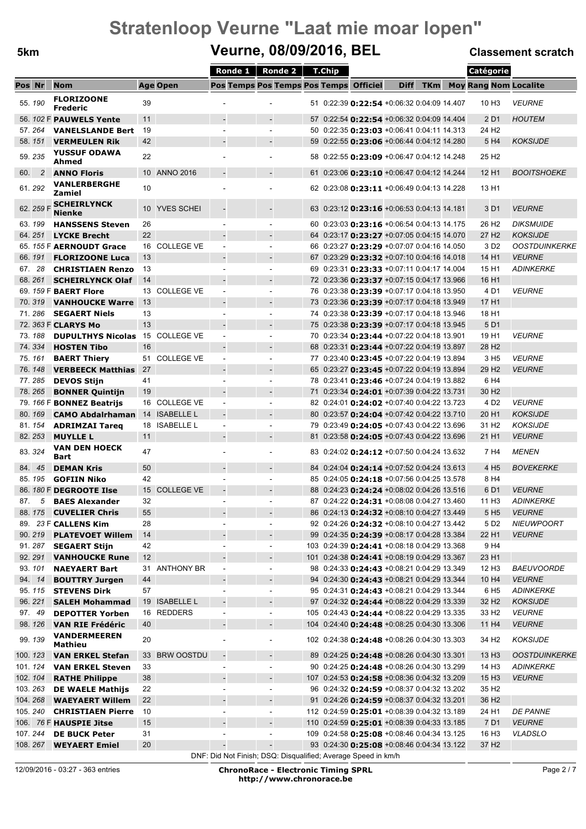### **5km Veurne, 08/09/2016, BEL Classement scratch**

|        |                |                                                    |                 |                   |                          | Ronde 1 |                                | <b>Ronde 2</b> | T.Chip |                                                                                                 |             |            | Catégorie                    |                          |
|--------|----------------|----------------------------------------------------|-----------------|-------------------|--------------------------|---------|--------------------------------|----------------|--------|-------------------------------------------------------------------------------------------------|-------------|------------|------------------------------|--------------------------|
| Pos Nr |                | <b>Nom</b>                                         |                 | <b>Age Open</b>   |                          |         |                                |                |        | Pos Temps Pos Temps Pos Temps Officiel                                                          | <b>Diff</b> | <b>TKm</b> | <b>Moy Rang Nom Localite</b> |                          |
|        | 55.190         | <b>FLORIZOONE</b><br><b>Frederic</b>               | 39              |                   |                          |         |                                |                |        | 51 0:22:39 0:22:54 +0:06:32 0:04:09 14.407                                                      |             |            | 10 H <sub>3</sub>            | <b>VEURNE</b>            |
|        |                | 56. 102 F PAUWELS Yente                            | 11              |                   |                          |         | $\overline{\phantom{a}}$       |                |        | 57 0:22:54 0:22:54 +0:06:32 0:04:09 14.404                                                      |             |            | 2 D1                         | <b>HOUTEM</b>            |
|        | 57.264         | <b>VANELSLANDE Bert</b>                            | 19              |                   |                          |         | ÷.                             |                |        | 50 0:22:35 0:23:03 +0:06:41 0:04:11 14.313                                                      |             |            | 24 H <sub>2</sub>            |                          |
|        | 58.151         | <b>VERMEULEN Rik</b>                               | 42              |                   |                          |         | $\overline{\phantom{a}}$       |                |        | 59 0:22:55 0:23:06 +0:06:44 0:04:12 14.280                                                      |             |            | 5 H4                         | <b>KOKSIJDE</b>          |
|        | 59.235         | <b>YUSSUF ODAWA</b><br>Ahmed                       | 22              |                   |                          |         | ٠                              |                |        | 58 0:22:55 0:23:09 +0:06:47 0:04:12 14.248                                                      |             |            | 25 H <sub>2</sub>            |                          |
| 60.    | $\overline{c}$ | <b>ANNO Floris</b>                                 |                 | 10 ANNO 2016      |                          |         |                                |                |        | 61 0:23:06 0:23:10 +0:06:47 0:04:12 14.244                                                      |             |            | 12 H <sub>1</sub>            | <b>BOOITSHOEKE</b>       |
|        | 61.292         | <b>VANLERBERGHE</b><br>Zamiel                      | 10              |                   |                          |         |                                |                |        | 62 0:23:08 <b>0:23:11</b> +0:06:49 0:04:13 14.228                                               |             |            | 13 H1                        |                          |
|        | 62. 259 F      | <b>SCHEIRLYNCK</b><br>Nienke                       | 10 <sup>°</sup> | YVES SCHEI        |                          |         |                                |                |        | 63 0:23:12 0:23:16 +0:06:53 0:04:13 14.181                                                      |             |            | 3 D1                         | <b>VEURNE</b>            |
|        | 63.199         | <b>HANSSENS Steven</b>                             | 26              |                   |                          |         |                                |                |        | 60 0:23:03 <b>0:23:16</b> +0:06:54 0:04:13 14.175                                               |             |            | 26 H <sub>2</sub>            | <b>DIKSMUIDE</b>         |
|        | 64.251         | <b>LYCKE Brecht</b>                                | 22              |                   |                          |         |                                |                |        | 64 0:23:17 0:23:27 +0:07:05 0:04:15 14.070                                                      |             |            | 27 H <sub>2</sub>            | <b>KOKSIJDE</b>          |
|        |                | 65. 155 F AERNOUDT Grace                           | 16              | <b>COLLEGE VE</b> |                          |         | $\blacksquare$                 |                |        | 66 0:23:27 0:23:29 +0:07:07 0:04:16 14.050                                                      |             |            | 3 D <sub>2</sub>             | <b>OOSTDUINKERKE</b>     |
|        | 66.191         | <b>FLORIZOONE Luca</b>                             | 13              |                   |                          |         | $\overline{\phantom{a}}$       |                |        | 67 0:23:29 0:23:32 +0:07:10 0:04:16 14.018                                                      |             |            | 14 H1                        | <b>VEURNE</b>            |
| 67.    | 28<br>68.261   | <b>CHRISTIAEN Renzo</b><br><b>SCHEIRLYNCK Olaf</b> | 13<br>14        |                   |                          |         | ÷.                             |                |        | 69 0:23:31 <b>0:23:33</b> +0:07:11 0:04:17 14.004<br>72 0:23:36 0:23:37 +0:07:15 0:04:17 13.966 |             |            | 15 H1<br>16 H1               | <b>ADINKERKE</b>         |
|        |                | 69. 159 F BAERT Flore                              | 13              | <b>COLLEGE VE</b> |                          |         | $\overline{\phantom{a}}$<br>ä, |                |        | 76 0:23:38 0:23:39 +0:07:17 0:04:18 13.950                                                      |             |            | 4 D1                         | <b>VEURNE</b>            |
|        | 70.319         | <b>VANHOUCKE Warre</b>                             | 13              |                   |                          |         | $\overline{a}$                 |                |        | 73 0:23:36 0:23:39 +0:07:17 0:04:18 13.949                                                      |             |            | 17 H1                        |                          |
|        | 71.286         | <b>SEGAERT Niels</b>                               | 13              |                   |                          |         | ÷.                             |                |        | 74 0:23:38 0:23:39 +0:07:17 0:04:18 13.946                                                      |             |            | 18 H1                        |                          |
|        |                | 72. 363 F CLARYS Mo                                | 13              |                   |                          |         |                                |                |        | 75 0:23:38 0:23:39 +0:07:17 0:04:18 13.945                                                      |             |            | 5 D1                         |                          |
|        | 73.188         | <b>DUPULTHYS Nicolas</b>                           | 15              | <b>COLLEGE VE</b> | $\sim$                   |         | ÷.                             |                |        | 70 0:23:34 <b>0:23:44</b> +0:07:22 0:04:18 13.901                                               |             |            | 19 H1                        | <b>VEURNE</b>            |
|        | 74.334         | <b>HOSTEN Tibo</b>                                 | 16              |                   |                          |         |                                |                |        | 68 0:23:31 <b>0:23:44</b> +0:07:22 0:04:19 13.897                                               |             |            | 28 H <sub>2</sub>            |                          |
|        | 75.161         | <b>BAERT Thiery</b>                                | 51              | <b>COLLEGE VE</b> | $\blacksquare$           |         | $\overline{\phantom{a}}$       |                |        | 77 0:23:40 0:23:45 +0:07:22 0:04:19 13.894                                                      |             |            | 3 H <sub>5</sub>             | <b>VEURNE</b>            |
|        | 76.148         | <b>VERBEECK Matthias</b>                           | -27             |                   |                          |         |                                |                |        | 65 0:23:27 0:23:45 +0:07:22 0:04:19 13.894                                                      |             |            | 29 H <sub>2</sub>            | <b>VEURNE</b>            |
|        | 77.285         | <b>DEVOS Stijn</b>                                 | 41              |                   |                          |         | $\overline{\phantom{a}}$       |                |        | 78 0:23:41 <b>0:23:46</b> +0:07:24 0:04:19 13.882                                               |             |            | 6 H4                         |                          |
|        | 78.265         | <b>BONNER Quintijn</b>                             | 19              |                   |                          |         |                                |                |        | 71 0:23:34 <b>0:24:01</b> +0:07:39 0:04:22 13.731                                               |             |            | 30 H <sub>2</sub>            |                          |
|        |                | 79. 166 F BONNEZ Beatrijs                          |                 | 16 COLLEGE VE     | $\sim$                   |         | ÷.                             |                |        | 82 0:24:01 <b>0:24:02</b> +0:07:40 0:04:22 13.723                                               |             |            | 4 D <sub>2</sub>             | <b>VEURNE</b>            |
|        | 80.169         | <b>CAMO Abdalrhaman</b>                            | 14              | <b>ISABELLE L</b> |                          |         | $\overline{\phantom{a}}$       |                |        | 80 0:23:57 <b>0:24:04</b> +0:07:42 0:04:22 13.710                                               |             |            | 20 H <sub>1</sub>            | <b>KOKSIJDE</b>          |
|        | 81.154         | <b>ADRIMZAI Tareq</b>                              |                 | 18 ISABELLE L     |                          |         |                                |                |        | 79 0:23:49 <b>0:24:05</b> +0:07:43 0:04:22 13.696                                               |             |            | 31 H <sub>2</sub>            | <b>KOKSIJDE</b>          |
|        | 82.253         | <b>MUYLLE L</b>                                    | 11              |                   |                          |         | $\overline{\phantom{a}}$       |                |        | 81 0:23:58 0:24:05 +0:07:43 0:04:22 13.696                                                      |             |            | 21 H1                        | <b>VEURNE</b>            |
|        | 83.324         | <b>VAN DEN HOECK</b><br><b>Bart</b>                | 47              |                   |                          |         | $\blacksquare$                 |                |        | 83 0:24:02 0:24:12 +0:07:50 0:04:24 13.632                                                      |             |            | 7 H4                         | <b>MENEN</b>             |
|        | 84. 45         | <b>DEMAN Kris</b>                                  | 50              |                   |                          |         | $\overline{\phantom{a}}$       |                |        | 84 0:24:04 0:24:14 +0:07:52 0:04:24 13.613                                                      |             |            | 4 H <sub>5</sub>             | <b>BOVEKERKE</b>         |
|        | 85.195         | <b>GOFIIN Niko</b>                                 | 42              |                   |                          |         |                                |                |        | 85 0:24:05 0:24:18 +0:07:56 0:04:25 13.578                                                      |             |            | 8 H4                         |                          |
|        |                | 86. 180 F DEGROOTE Ilse                            | 15              | <b>COLLEGE VE</b> |                          |         | $\blacksquare$                 |                |        | 88 0:24:23 0:24:24 +0:08:02 0:04:26 13.516                                                      |             |            | 6 D1                         | <b>VEURNE</b>            |
| 87.    | 5              | <b>BAES Alexander</b>                              | 32              |                   | $\overline{\phantom{a}}$ |         | ٠                              |                |        | 87 0:24:22 0:24:31 +0:08:08 0:04:27 13.460                                                      |             |            | 11 H <sub>3</sub>            | <b>ADINKERKE</b>         |
|        |                | 88. 175 CUVELIER Chris                             | 55              |                   |                          |         | $\overline{\phantom{a}}$       |                |        | 86 0:24:13 0:24:32 +0:08:10 0:04:27 13.449                                                      |             |            | 5 H <sub>5</sub>             | <b>VEURNE</b>            |
|        |                | 89. 23 F CALLENS Kim                               | 28              |                   |                          |         | $\blacksquare$                 |                |        | 92 0:24:26 0:24:32 +0:08:10 0:04:27 13.442                                                      |             |            | 5 D <sub>2</sub>             | <b>NIEUWPOORT</b>        |
|        | 90.219         | <b>PLATEVOET Willem</b>                            | 14              |                   |                          |         | $\blacksquare$                 |                |        | 99 0:24:35 0:24:39 +0:08:17 0:04:28 13.384                                                      |             |            | 22 H1                        | <b>VEURNE</b>            |
|        | 91.287         | <b>SEGAERT Stijn</b>                               | 42              |                   |                          |         | $\overline{\phantom{a}}$       |                |        | 103 0:24:39 0:24:41 +0:08:18 0:04:29 13.368                                                     |             |            | 9 H4                         |                          |
|        | 92.291         | <b>VANHOUCKE Rune</b>                              | 12              |                   |                          |         | $\overline{\phantom{a}}$       |                |        | 101 0:24:38 0:24:41 +0:08:19 0:04:29 13.367                                                     |             |            | 23 H1                        |                          |
|        | 93.101         | <b>NAEYAERT Bart</b>                               |                 | 31 ANTHONY BR     | $\overline{\phantom{a}}$ |         | $\overline{\phantom{a}}$       |                |        | 98 0:24:33 0:24:43 +0:08:21 0:04:29 13.349                                                      |             |            | 12 H <sub>3</sub>            | <i><b>BAEUVOORDE</b></i> |
|        | 94. 14         | <b>BOUTTRY Jurgen</b>                              | 44              |                   | $\overline{\phantom{a}}$ |         | $\blacksquare$                 |                |        | 94 0:24:30 0:24:43 +0:08:21 0:04:29 13.344                                                      |             |            | 10 H <sub>4</sub>            | <b>VEURNE</b>            |
|        | 95.115         | <b>STEVENS Dirk</b>                                | 57              |                   | $\overline{\phantom{a}}$ |         | $\overline{\phantom{a}}$       |                |        | 95 0:24:31 0:24:43 +0:08:21 0:04:29 13.344                                                      |             |            | 6 H <sub>5</sub>             | <b>ADINKERKE</b>         |
|        | 96.221         | <b>SALEH Mohammad</b>                              |                 | 19 ISABELLE L     |                          |         | $\overline{a}$                 |                |        | 97 0:24:32 0:24:44 +0:08:22 0:04:29 13.339                                                      |             |            | 32 H <sub>2</sub>            | <b>KOKSIJDE</b>          |
|        | 97. 49         | <b>DEPOTTER Yorben</b>                             | 16              | REDDERS           | $\overline{\phantom{a}}$ |         | $\overline{\phantom{a}}$       |                |        | 105 0:24:43 0:24:44 +0:08:22 0:04:29 13.335                                                     |             |            | 33 H <sub>2</sub>            | <b>VEURNE</b>            |
|        | 98.126         | <b>VAN RIE Frédéric</b>                            | 40              |                   |                          |         | $\blacksquare$                 |                |        | 104 0:24:40 0:24:48 +0:08:25 0:04:30 13.306                                                     |             |            | 11 H <sub>4</sub>            | <b>VEURNE</b>            |
|        | 99.139         | <b>VANDERMEEREN</b><br>Mathieu                     | 20              |                   |                          |         | $\overline{\phantom{a}}$       |                |        | 102 0:24:38 0:24:48 +0:08:26 0:04:30 13.303                                                     |             |            | 34 H <sub>2</sub>            | <b>KOKSIJDE</b>          |
|        | 100. 123       | <b>VAN ERKEL Stefan</b>                            | 33              | <b>BRW OOSTDU</b> | $\overline{\phantom{a}}$ |         | $\overline{\phantom{a}}$       |                |        | 89 0:24:25 <b>0:24:48</b> +0:08:26 0:04:30 13.301                                               |             |            | 13 H <sub>3</sub>            | <b>OOSTDUINKERKE</b>     |
|        | 101.124        | <b>VAN ERKEL Steven</b>                            | 33              |                   |                          |         | $\overline{\phantom{a}}$       |                |        | 90 0:24:25 0:24:48 +0:08:26 0:04:30 13.299                                                      |             |            | 14 H <sub>3</sub>            | <b>ADINKERKE</b>         |
|        | 102. 104       | <b>RATHE Philippe</b>                              | 38              |                   |                          |         | $\overline{a}$                 |                |        | 107 0:24:53 0:24:58 +0:08:36 0:04:32 13.209                                                     |             |            | 15 H <sub>3</sub>            | <b>VEURNE</b>            |
|        | 103.263        | <b>DE WAELE Mathijs</b>                            | 22              |                   | $\overline{\phantom{a}}$ |         | $\overline{\phantom{a}}$       |                |        | 96 0:24:32 0:24:59 +0:08:37 0:04:32 13.202                                                      |             |            | 35 H <sub>2</sub>            |                          |
|        | 104.268        | <b>WAEYAERT Willem</b>                             | 22              |                   |                          |         | $\blacksquare$                 |                |        | 91 0:24:26 0:24:59 +0:08:37 0:04:32 13.201                                                      |             |            | 36 H <sub>2</sub>            |                          |
|        | 105.240        | <b>CHRISTIAEN Pierre</b>                           | 10              |                   | $\overline{\phantom{a}}$ |         | $\overline{\phantom{a}}$       |                |        | 112 0:24:59 0:25:01 +0:08:39 0:04:32 13.189                                                     |             |            | 24 H1                        | <b>DE PANNE</b>          |
|        |                | 106. 76 F <b>HAUSPIE Jitse</b>                     | 15              |                   |                          |         | ÷                              |                |        | 110 0:24:59 0:25:01 +0:08:39 0:04:33 13.185                                                     |             |            | 7 D1                         | <b>VEURNE</b>            |
|        | 107.244        | <b>DE BUCK Peter</b>                               | 31              |                   |                          |         | $\overline{\phantom{a}}$       |                |        | 109 0:24:58 <b>0:25:08</b> +0:08:46 0:04:34 13.125                                              |             |            | 16 H <sub>3</sub>            | VLADSLO                  |
|        | 108.267        | <b>WEYAERT Emiel</b>                               | 20              |                   |                          |         | $\overline{\phantom{a}}$       |                |        | 93 0:24:30 0:25:08 +0:08:46 0:04:34 13.122                                                      |             |            | 37 H <sub>2</sub>            |                          |

DNF: Did Not Finish; DSQ: Disqualified; Average Speed in km/h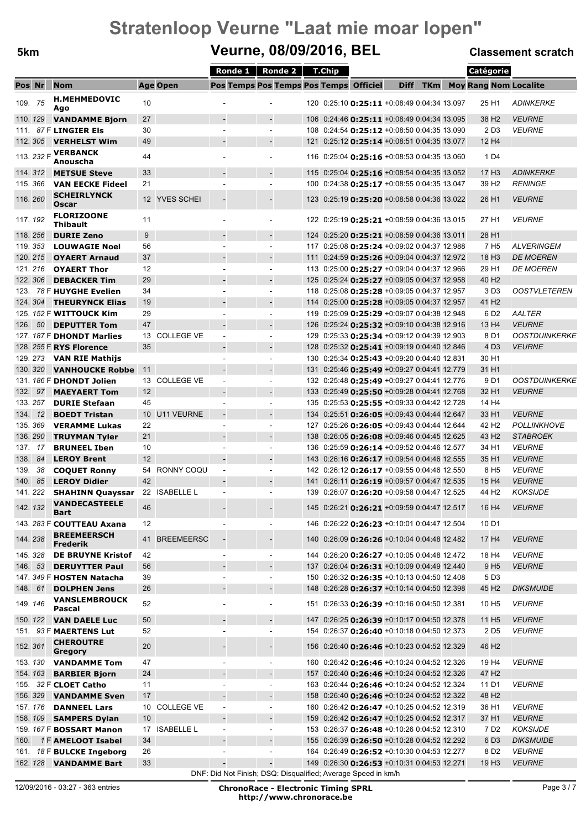### **5km Veurne, 08/09/2016, BEL Classement scratch**

|      |                    |                                                    |          |                   | Ronde 1                  | Ronde 2                                                       | T.Chip |                                                                                                          |             |            | Catégorie                             |                                  |
|------|--------------------|----------------------------------------------------|----------|-------------------|--------------------------|---------------------------------------------------------------|--------|----------------------------------------------------------------------------------------------------------|-------------|------------|---------------------------------------|----------------------------------|
|      | Pos Nr             | <b>Nom</b>                                         |          | <b>Age Open</b>   |                          | Pos Temps Pos Temps Pos Temps Officiel                        |        |                                                                                                          | <b>Diff</b> | <b>TKm</b> | <b>Moy Rang Nom Localite</b>          |                                  |
|      | 109. 75            | <b>H.MEHMEDOVIC</b>                                | 10       |                   |                          |                                                               |        | 120 0:25:10 0:25:11 +0:08:49 0:04:34 13.097                                                              |             |            | 25 H1                                 | <b>ADINKERKE</b>                 |
|      |                    | Ago                                                |          |                   |                          |                                                               |        |                                                                                                          |             |            |                                       |                                  |
| 111. | 110.129            | <b>VANDAMME Bjorn</b><br>87 F LINGIER Els          | 27<br>30 |                   |                          | $\overline{\phantom{a}}$<br>÷.                                |        | 106 0:24:46 0:25:11 +0:08:49 0:04:34 13.095<br>108 0:24:54 0:25:12 +0:08:50 0:04:35 13.090               |             |            | 38 H <sub>2</sub><br>2 D <sub>3</sub> | <b>VEURNE</b><br><b>VEURNE</b>   |
|      | 112.305            | <b>VERHELST Wim</b>                                | 49       |                   |                          | $\blacksquare$                                                |        | 121 0:25:12 0:25:14 +0:08:51 0:04:35 13.077                                                              |             |            | 12 H4                                 |                                  |
|      |                    | 113. 232 F <b>VERBANCK</b>                         |          |                   |                          |                                                               |        |                                                                                                          |             |            |                                       |                                  |
|      |                    | Anouscha                                           | 44       |                   |                          |                                                               |        | 116 0:25:04 <b>0:25:16</b> +0:08:53 0:04:35 13.060                                                       |             |            | 1 D <sub>4</sub>                      |                                  |
|      | 114.312            | <b>METSUE Steve</b>                                | 33       |                   |                          | $\blacksquare$                                                |        | 115 0:25:04 0:25:16 +0:08:54 0:04:35 13.052                                                              |             |            | 17 H <sub>3</sub>                     | <b>ADINKERKE</b>                 |
|      | 115.366            | <b>VAN EECKE Fideel</b>                            | 21       |                   |                          |                                                               |        | 100 0:24:38 0:25:17 +0:08:55 0:04:35 13.047                                                              |             |            | 39 H <sub>2</sub>                     | <b>RENINGE</b>                   |
|      | 116.260            | <b>SCHEIRLYNCK</b>                                 |          | 12 YVES SCHEI     |                          |                                                               |        | 123 0:25:19 0:25:20 +0:08:58 0:04:36 13.022                                                              |             |            | 26 H <sub>1</sub>                     | <b>VEURNE</b>                    |
|      |                    | Oscar<br><b>FLORIZOONE</b>                         |          |                   |                          |                                                               |        |                                                                                                          |             |            |                                       |                                  |
|      | 117.192            | <b>Thibault</b>                                    | 11       |                   |                          |                                                               |        | 122 0:25:19 <b>0:25:21</b> +0:08:59 0:04:36 13.015                                                       |             |            | 27 H1                                 | <b>VEURNE</b>                    |
|      | 118.256            | <b>DURIE Zeno</b>                                  | 9        |                   |                          | $\overline{\phantom{a}}$                                      |        | 124 0:25:20 0:25:21 +0:08:59 0:04:36 13.011                                                              |             |            | 28 H <sub>1</sub>                     |                                  |
|      | 119.353            | <b>LOUWAGIE Noel</b>                               | 56       |                   |                          | ٠                                                             |        | 117 0:25:08 0:25:24 +0:09:02 0:04:37 12.988                                                              |             |            | 7 H <sub>5</sub>                      | <b>ALVERINGEM</b>                |
|      | 120.215            | <b>OYAERT Arnaud</b>                               | 37       |                   |                          |                                                               |        | 111 0:24:59 0:25:26 +0:09:04 0:04:37 12.972                                                              |             |            | 18 H <sub>3</sub>                     | <b>DE MOEREN</b>                 |
|      | 121.216            | <b>OYAERT Thor</b>                                 | 12       |                   |                          |                                                               |        | 113 0:25:00 <b>0:25:27</b> +0:09:04 0:04:37 12.966                                                       |             |            | 29 H <sub>1</sub>                     | <b>DE MOEREN</b>                 |
|      | 122. 306           | <b>DEBACKER Tim</b>                                | 29       |                   |                          | $\overline{\phantom{a}}$                                      |        | 125 0:25:24 <b>0:25:27</b> +0:09:05 0:04:37 12.958                                                       |             |            | 40 H <sub>2</sub>                     |                                  |
|      |                    | 123. 78 F HUYGHE Evelien                           | 34       |                   |                          |                                                               |        | 118 0:25:08 0:25:28 +0:09:05 0:04:37 12.957                                                              |             |            | 3 D <sub>3</sub>                      | <b>OOSTVLETEREN</b>              |
|      | 124.304            | <b>THEURYNCK Elias</b>                             | 19       |                   |                          |                                                               |        | 114 0:25:00 <b>0:25:28</b> +0:09:05 0:04:37 12.957                                                       |             |            | 41 H <sub>2</sub>                     |                                  |
|      |                    | 125. 152 F WITTOUCK Kim                            | 29<br>47 |                   |                          | $\overline{a}$                                                |        | 119 0:25:09 0:25:29 +0:09:07 0:04:38 12.948                                                              |             |            | 6 D <sub>2</sub>                      | AALTER<br><b>VEURNE</b>          |
|      | 126. 50            | <b>DEPUTTER Tom</b><br>127. 187 F DHONDT Marlies   | 13       | <b>COLLEGE VE</b> | $\sim$                   | $\blacksquare$                                                |        | 126 0:25:24 0:25:32 +0:09:10 0:04:38 12.916<br>129 0:25:33 0:25:34 +0:09:12 0:04:39 12.903               |             |            | 13 H4<br>8 D1                         | <b>OOSTDUINKERKE</b>             |
|      |                    | 128. 255 F RYS Florence                            | 35       |                   |                          |                                                               |        | 128 0:25:32 0:25:41 +0:09:19 0:04:40 12.846                                                              |             |            | 4 D <sub>3</sub>                      | <b>VEURNE</b>                    |
|      | 129.273            | VAN RIE Mathijs                                    |          |                   |                          | $\blacksquare$                                                |        | 130 0:25:34 0:25:43 +0:09:20 0:04:40 12.831                                                              |             |            | 30 H <sub>1</sub>                     |                                  |
|      | 130.320            | <b>VANHOUCKE Robbe</b>                             | 11       |                   |                          |                                                               |        | 131 0:25:46 0:25:49 +0:09:27 0:04:41 12.779                                                              |             |            | 31 H1                                 |                                  |
|      |                    | 131. 186 F DHONDT Jolien                           |          | 13 COLLEGE VE     | $\sim$                   | ÷.                                                            |        | 132 0:25:48 0:25:49 +0:09:27 0:04:41 12.776                                                              |             |            | 9 D1                                  | <b>OOSTDUINKERKE</b>             |
| 132. | 97                 | <b>MAEYAERT Tom</b>                                | 12       |                   |                          |                                                               |        | 133 0:25:49 0:25:50 +0:09:28 0:04:41 12.768                                                              |             |            | 32 H1                                 | <b>VEURNE</b>                    |
|      | 133.257            | <b>DURIE Stefaan</b>                               | 45       |                   |                          | $\overline{\phantom{a}}$                                      |        | 135 0:25:53 0:25:55 +0:09:33 0:04:42 12.728                                                              |             |            | 14 H4                                 |                                  |
|      | 134. 12            | <b>BOEDT Tristan</b>                               | 10       | <b>U11 VEURNE</b> |                          |                                                               |        | 134 0:25:51 0:26:05 +0:09:43 0:04:44 12.647                                                              |             |            | 33 H1                                 | <b>VEURNE</b>                    |
|      | 135.369            | <b>VERAMME Lukas</b>                               | 22       |                   | $\sim$                   | $\blacksquare$                                                |        | 127 0:25:26 0:26:05 +0:09:43 0:04:44 12.644                                                              |             |            | 42 H <sub>2</sub>                     | <b>POLLINKHOVE</b>               |
|      | 136.290            | <b>TRUYMAN Tyler</b>                               | 21       |                   |                          | $\overline{\phantom{a}}$                                      |        | 138 0:26:05 0:26:08 +0:09:46 0:04:45 12.625                                                              |             |            | 43 H <sub>2</sub>                     | <b>STABROEK</b>                  |
|      | 137. 17            | <b>BRUNEEL Iben</b>                                | 10       |                   |                          | $\blacksquare$                                                |        | 136 0:25:59 0:26:14 +0:09:52 0:04:46 12.577                                                              |             |            | 34 H1                                 | <b>VEURNE</b>                    |
| 138. | 84                 | <b>LEROY Brent</b>                                 | 12       | RONNY COOU        |                          |                                                               |        | 143 0:26:16 <b>0:26:17</b> +0:09:54 0:04:46 12.555                                                       |             |            | 35 H <sub>1</sub>                     | <b>VEURNE</b>                    |
| 139. | 38                 | <b>COQUET Ronny</b>                                | 54<br>42 |                   | $\overline{\phantom{a}}$ | $\overline{a}$                                                |        | 142 0:26:12 0:26:17 +0:09:55 0:04:46 12.550                                                              |             |            | 8 H <sub>5</sub>                      | <b>VEURNE</b>                    |
|      | 140. 85<br>141.222 | <b>LEROY Didier</b><br><b>SHAHINN Quayssar</b>     | 22       | <b>ISABELLE L</b> |                          |                                                               |        | 141 0:26:11 0:26:19 +0:09:57 0:04:47 12.535<br>139 0:26:07 0:26:20 +0:09:58 0:04:47 12.525               |             |            | 15 H4<br>44 H <sub>2</sub>            | <b>VEURNE</b><br><b>KOKSIJDE</b> |
|      |                    | <b>VANDECASTEELE</b>                               |          |                   |                          |                                                               |        |                                                                                                          |             |            |                                       |                                  |
|      | 142, 132           | <b>Bart</b>                                        | 46       |                   |                          |                                                               |        | 145 0:26:21 <b>0:26:21</b> +0:09:59 0:04:47 12.517                                                       |             |            | 16 H <sub>4</sub>                     | <b>VEURNE</b>                    |
|      |                    | 143. 283 F COUTTEAU Axana                          | 12       |                   |                          |                                                               |        | 146 0:26:22 0:26:23 +0:10:01 0:04:47 12.504                                                              |             |            | 10 D1                                 |                                  |
|      | 144.238            | <b>BREEMEERSCH</b>                                 | 41       | <b>BREEMEERSC</b> |                          |                                                               |        | 140 0:26:09 0:26:26 +0:10:04 0:04:48 12.482                                                              |             |            | 17 H4                                 | <b>VEURNE</b>                    |
|      |                    | <b>Frederik</b>                                    |          |                   |                          |                                                               |        |                                                                                                          |             |            |                                       |                                  |
|      | 145.328<br>146. 53 | <b>DE BRUYNE Kristof</b>                           | 42<br>56 |                   | $\sim$                   | $\overline{\phantom{a}}$<br>$\frac{1}{2}$                     |        | 144 0:26:20 <b>0:26:27</b> +0:10:05 0:04:48 12.472                                                       |             |            | 18 H4                                 | <b>VEURNE</b>                    |
|      |                    | <b>DERUYTTER Paul</b><br>147. 349 F HOSTEN Natacha | 39       |                   |                          | $\overline{\phantom{a}}$                                      |        | 137 0:26:04 <b>0:26:31</b> +0:10:09 0:04:49 12.440<br>150 0:26:32 <b>0:26:35</b> +0:10:13 0:04:50 12.408 |             |            | 9 H <sub>5</sub><br>5 D <sub>3</sub>  | <b>VEURNE</b>                    |
|      | 148. 61            | <b>DOLPHEN Jens</b>                                | 26       |                   |                          |                                                               |        | 148 0:26:28 0:26:37 +0:10:14 0:04:50 12.398                                                              |             |            | 45 H <sub>2</sub>                     | <b>DIKSMUIDE</b>                 |
|      |                    | <b>VANSLEMBROUCK</b>                               |          |                   |                          |                                                               |        |                                                                                                          |             |            |                                       |                                  |
|      | 149.146            | Pascal                                             | 52       |                   |                          |                                                               |        | 151 0:26:33 0:26:39 +0:10:16 0:04:50 12.381                                                              |             |            | 10 H <sub>5</sub>                     | <b>VEURNE</b>                    |
|      | 150.122            | <b>VAN DAELE Luc</b>                               | 50       |                   |                          | $\blacksquare$                                                |        | 147 0:26:25 0:26:39 +0:10:17 0:04:50 12.378                                                              |             |            | 11 H <sub>5</sub>                     | <b>VEURNE</b>                    |
|      |                    | 151. 93 F MAERTENS Lut                             | 52       |                   |                          | $\blacksquare$                                                |        | 154 0:26:37 0:26:40 +0:10:18 0:04:50 12.373                                                              |             |            | 2 D <sub>5</sub>                      | <b>VEURNE</b>                    |
|      | 152.361            | <b>CHEROUTRE</b>                                   | 20       |                   |                          |                                                               |        | 156 0:26:40 0:26:46 +0:10:23 0:04:52 12.329                                                              |             |            | 46 H <sub>2</sub>                     |                                  |
|      |                    | Gregory                                            | 47       |                   |                          |                                                               |        |                                                                                                          |             |            | 19 H4                                 | <b>VEURNE</b>                    |
|      | 153.130<br>154.163 | <b>VANDAMME Tom</b>                                | 24       |                   |                          |                                                               |        | 160 0:26:42 0:26:46 +0:10:24 0:04:52 12.326<br>157 0:26:40 0:26:46 +0:10:24 0:04:52 12.326               |             |            | 47 H <sub>2</sub>                     |                                  |
|      |                    | <b>BARBIER Bjorn</b><br>155. 32 F CLOET Catho      | 11       |                   | $\sim$                   | $\blacksquare$                                                |        | 163 0:26:44 0:26:46 +0:10:24 0:04:52 12.324                                                              |             |            | 11 D1                                 | <b>VEURNE</b>                    |
|      | 156.329            | <b>VANDAMME Sven</b>                               | 17       |                   |                          |                                                               |        | 158 0:26:40 <b>0:26:46</b> +0:10:24 0:04:52 12.322                                                       |             |            | 48 H <sub>2</sub>                     |                                  |
|      | 157.176            | <b>DANNEEL Lars</b>                                |          | 10 COLLEGE VE     | $\overline{\phantom{a}}$ | $\overline{\phantom{a}}$                                      |        | 160 0:26:42 0:26:47 +0:10:25 0:04:52 12.319                                                              |             |            | 36 H1                                 | <b>VEURNE</b>                    |
|      | 158.109            | <b>SAMPERS Dylan</b>                               | 10       |                   |                          |                                                               |        | 159 0:26:42 0:26:47 +0:10:25 0:04:52 12.317                                                              |             |            | 37 H1                                 | <b>VEURNE</b>                    |
|      |                    | 159. 167 F <b>BOSSART Manon</b>                    |          | 17 ISABELLE L     | $\overline{\phantom{a}}$ | ÷.                                                            |        | 153 0:26:37 0:26:48 +0:10:26 0:04:52 12.310                                                              |             |            | 7 D <sub>2</sub>                      | <b>KOKSIJDE</b>                  |
| 160. |                    | 1F AMELOOT Isabel                                  | 34       |                   |                          |                                                               |        | 155 0:26:39 0:26:50 +0:10:28 0:04:52 12.292                                                              |             |            | 6 D <sub>3</sub>                      | <b>DIKSMUIDE</b>                 |
|      |                    | 161. 18 F BULCKE Ingeborg                          | 26       |                   |                          |                                                               |        | 164 0:26:49 0:26:52 +0:10:30 0:04:53 12.277                                                              |             |            | 8 D <sub>2</sub>                      | <b>VEURNE</b>                    |
|      |                    | 162. 128 <b>VANDAMME Bart</b>                      | 33       |                   |                          |                                                               |        | 149 0:26:30 0:26:53 +0:10:31 0:04:53 12.271                                                              |             |            | 19 H <sub>3</sub>                     | <b>VEURNE</b>                    |
|      |                    |                                                    |          |                   |                          | DNF: Did Not Finish; DSQ: Disqualified; Average Speed in km/h |        |                                                                                                          |             |            |                                       |                                  |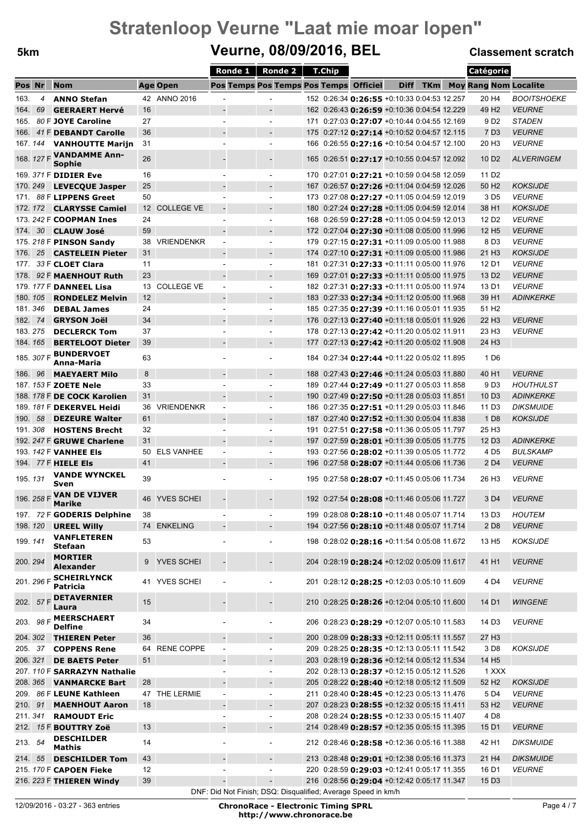### **5km Veurne, 08/09/2016, BEL Classement scratch**

|          |                |                                            |    |                   | Ronde 1                                                       | <b>Ronde 2</b>                         | T.Chip |                                                    |             |            | Catégorie                    |                    |
|----------|----------------|--------------------------------------------|----|-------------------|---------------------------------------------------------------|----------------------------------------|--------|----------------------------------------------------|-------------|------------|------------------------------|--------------------|
| Pos Nr   |                | <b>Nom</b>                                 |    | <b>Age Open</b>   |                                                               | Pos Temps Pos Temps Pos Temps Officiel |        |                                                    | <b>Diff</b> | <b>TKm</b> | <b>Moy Rang Nom Localite</b> |                    |
| 163.     | $\overline{4}$ | <b>ANNO Stefan</b>                         |    | 42 ANNO 2016      |                                                               |                                        |        | 152 0:26:34 0:26:55 +0:10:33 0:04:53 12.257        |             |            | 20 H4                        | <b>BOOITSHOEKE</b> |
| 164.     | 69             | <b>GEERAERT Hervé</b>                      | 16 |                   |                                                               |                                        |        | 162 0:26:43 0:26:59 +0:10:36 0:04:54 12.229        |             |            | 49 H <sub>2</sub>            | <b>VEURNE</b>      |
|          |                | 165. 80 F JOYE Caroline                    | 27 |                   |                                                               | $\overline{\phantom{a}}$               |        | 171 0:27:03 0:27:07 +0:10:44 0:04:55 12.169        |             |            | 9 D2                         | <b>STADEN</b>      |
|          |                | 166. 41 F DEBANDT Carolle                  | 36 |                   |                                                               |                                        |        | 175 0:27:12 0:27:14 +0:10:52 0:04:57 12.115        |             |            | 7 D <sub>3</sub>             | <b>VEURNE</b>      |
|          |                | 167. 144 VANHOUTTE Marijn                  | 31 |                   | ÷                                                             | $\sim$                                 |        | 166 0:26:55 0:27:16 +0:10:54 0:04:57 12.100        |             |            | 20 H <sub>3</sub>            | <b>VEURNE</b>      |
|          |                | 168. 127 F <b>VANDAMME Ann-</b>            |    |                   |                                                               |                                        |        |                                                    |             |            |                              |                    |
|          |                | Sophie                                     | 26 |                   |                                                               |                                        |        | 165 0:26:51 <b>0:27:17</b> +0:10:55 0:04:57 12.092 |             |            | 10 D <sub>2</sub>            | <b>ALVERINGEM</b>  |
|          |                | 169. 371 F <b>DIDIER Eve</b>               | 16 |                   | $\overline{\phantom{a}}$                                      | $\blacksquare$                         |        | 170 0:27:01 <b>0:27:21</b> +0:10:59 0:04:58 12.059 |             |            | 11 D <sub>2</sub>            |                    |
|          |                | 170. 249 LEVECQUE Jasper                   | 25 |                   |                                                               |                                        |        | 167 0:26:57 0:27:26 +0:11:04 0:04:59 12.026        |             |            | 50 H <sub>2</sub>            | <b>KOKSIJDE</b>    |
|          |                | 171. 88 F LIPPENS Greet                    | 50 |                   |                                                               | $\sim$                                 |        | 173 0:27:08 0:27:27 +0:11:05 0:04:59 12.019        |             |            | 3 D <sub>5</sub>             | <b>VEURNE</b>      |
|          |                | 172. 172 CLARYSSE Camiel                   |    | 12 COLLEGE VE     | $\overline{\phantom{a}}$                                      |                                        |        | 180 0:27:24 0:27:28 +0:11:05 0:04:59 12.014        |             |            | 38 H1                        | <b>KOKSIJDE</b>    |
|          |                | 173. 242 F <b>COOPMAN Ines</b>             | 24 |                   | ٠                                                             | $\sim$                                 |        | 168 0:26:59 <b>0:27:28</b> +0:11:05 0:04:59 12.013 |             |            | 12 D <sub>2</sub>            | <b>VEURNE</b>      |
| 174.     | 30             | CLAUW José                                 | 59 |                   | $\blacksquare$                                                |                                        |        | 172 0:27:04 0:27:30 +0:11:08 0:05:00 11.996        |             |            | 12 H <sub>5</sub>            | <b>VEURNE</b>      |
|          |                | 175. 218 F PINSON Sandy                    | 38 | <b>VRIENDENKR</b> | $\blacksquare$                                                | $\blacksquare$                         |        | 179 0:27:15 0:27:31 +0:11:09 0:05:00 11.988        |             |            | 8 D <sub>3</sub>             | <b>VEURNE</b>      |
| 176.     |                | 25 CASTELEIN Pieter                        | 31 |                   |                                                               |                                        |        | 174 0:27:10 <b>0:27:31</b> +0:11:09 0:05:00 11.986 |             |            | 21 H <sub>3</sub>            | <b>KOKSIJDE</b>    |
|          |                | 177. 33 F <b>CLOET Clara</b>               | 11 |                   | ٠                                                             | $\sim$                                 |        | 181 0:27:31 0:27:33 +0:11:11 0:05:00 11.976        |             |            | 12 D1                        | <b>VEURNE</b>      |
| 178.     |                | 92 F MAENHOUT Ruth                         | 23 |                   |                                                               |                                        |        | 169 0:27:01 <b>0:27:33</b> +0:11:11 0:05:00 11.975 |             |            | 13 D <sub>2</sub>            | <b>VEURNE</b>      |
|          |                | 179. 177 F DANNEEL Lisa                    |    | 13 COLLEGE VE     | $\overline{\phantom{a}}$                                      | $\blacksquare$                         |        | 182 0:27:31 0:27:33 +0:11:11 0:05:00 11.974        |             |            | 13 D1                        | <b>VEURNE</b>      |
| 180, 105 |                | <b>RONDELEZ Melvin</b>                     | 12 |                   |                                                               |                                        |        | 183 0:27:33 0:27:34 +0:11:12 0:05:00 11.968        |             |            | 39 H1                        | <b>ADINKERKE</b>   |
| 181.346  |                | <b>DEBAL James</b>                         | 24 |                   | ٠                                                             | $\overline{\phantom{a}}$               |        | 185 0:27:35 0:27:39 +0:11:16 0:05:01 11.935        |             |            | 51 H <sub>2</sub>            |                    |
| 182.     | -74            | <b>GRYSON Joël</b>                         | 34 |                   | $\overline{\phantom{a}}$                                      |                                        |        | 176 0:27:13 0:27:40 +0:11:18 0:05:01 11.926        |             |            | 22 H <sub>3</sub>            | <b>VEURNE</b>      |
| 183.275  |                | <b>DECLERCK Tom</b>                        | 37 |                   |                                                               | $\overline{\phantom{a}}$               |        | 178 0:27:13 0:27:42 +0:11:20 0:05:02 11.911        |             |            | 23 H <sub>3</sub>            | <b>VEURNE</b>      |
| 184, 165 |                | <b>BERTELOOT Dieter</b>                    | 39 |                   |                                                               |                                        |        | 177 0:27:13 0:27:42 +0:11:20 0:05:02 11.908        |             |            | 24 H <sub>3</sub>            |                    |
|          |                | 185. 307 F <b>BUNDERVOET</b><br>Anna-Maria | 63 |                   | ä,                                                            | $\sim$                                 |        | 184 0:27:34 0:27:44 +0:11:22 0:05:02 11.895        |             |            | 1 D <sub>6</sub>             |                    |
| 186. 96  |                | <b>MAEYAERT Milo</b>                       | 8  |                   | $\overline{a}$                                                | $\blacksquare$                         |        | 188 0:27:43 0:27:46 +0:11:24 0:05:03 11.880        |             |            | 40 H <sub>1</sub>            | <b>VEURNE</b>      |
|          |                | 187. 153 F ZOETE Nele                      | 33 |                   | $\overline{\phantom{a}}$                                      | $\sim$                                 |        | 189 0:27:44 0:27:49 +0:11:27 0:05:03 11.858        |             |            | 9 D <sub>3</sub>             | <b>HOUTHULST</b>   |
|          |                | 188. 178 F DE COCK Karolien                | 31 |                   |                                                               |                                        |        | 190 0:27:49 0:27:50 +0:11:28 0:05:03 11.851        |             |            | 10 D <sub>3</sub>            | <b>ADINKERKE</b>   |
|          |                | 189. 181 F DEKERVEL Heidi                  | 36 | <b>VRIENDENKR</b> | $\blacksquare$                                                | $\sim$                                 |        | 186 0:27:35 0:27:51 +0:11:29 0:05:03 11.846        |             |            | 11 D <sub>3</sub>            | DIKSMUIDE          |
| 190.     | 58             | <b>DEZEURE Walter</b>                      | 61 |                   |                                                               |                                        |        | 187 0:27:40 <b>0:27:52</b> +0:11:30 0:05:04 11.838 |             |            | 1 D <sub>8</sub>             | <b>KOKSIJDE</b>    |
| 191.308  |                | <b>HOSTENS Brecht</b>                      | 32 |                   | ۰                                                             | $\overline{\phantom{a}}$               |        | 191 0:27:51 <b>0:27:58</b> +0:11:36 0:05:05 11.797 |             |            | 25 H <sub>3</sub>            |                    |
|          |                | 192. 247 F GRUWE Charlene                  | 31 |                   |                                                               |                                        |        | 197 0:27:59 <b>0:28:01</b> +0:11:39 0:05:05 11.775 |             |            | 12 D <sub>3</sub>            | <b>ADINKERKE</b>   |
|          |                | 193. 142 F <b>VANHEE Els</b>               |    | 50 ELS VANHEE     | $\blacksquare$                                                | $\overline{\phantom{a}}$               |        | 193 0:27:56 0:28:02 +0:11:39 0:05:05 11.772        |             |            | 4 D <sub>5</sub>             | <b>BULSKAMP</b>    |
|          |                | 194. 77 F HIELE Els                        | 41 |                   |                                                               |                                        |        | 196 0:27:58 0:28:07 +0:11:44 0:05:06 11.736        |             |            | 2 D <sub>4</sub>             | <b>VEURNE</b>      |
|          |                | <b>VANDE WYNCKEL</b>                       |    |                   |                                                               |                                        |        |                                                    |             |            |                              |                    |
| 195.131  |                | Sven                                       | 39 |                   |                                                               | $\sim$                                 |        | 195 0:27:58 0:28:07 +0:11:45 0:05:06 11.734        |             |            | 26 H <sub>3</sub>            | <b>VEURNE</b>      |
|          |                | 196. 258 F VAN DE VIJVER                   |    | 46 YVES SCHEI     |                                                               |                                        |        | 192 0:27:54 <b>0:28:08</b> +0:11:46 0:05:06 11.727 |             |            | 3 D <sub>4</sub>             | <b>VEURNE</b>      |
|          |                | <b>Marike</b>                              |    |                   |                                                               |                                        |        |                                                    |             |            |                              |                    |
|          |                | 197. 72 F GODERIS Delphine                 | 38 |                   |                                                               | $\overline{\phantom{a}}$               |        | 199 0:28:08 0:28:10 +0:11:48 0:05:07 11.714        |             |            | 13 D <sub>3</sub>            | <b>HOUTEM</b>      |
| 198, 120 |                | <b>UREEL Willy</b>                         |    | 74 ENKELING       |                                                               | $\overline{\phantom{a}}$               |        | 194 0:27:56 0:28:10 +0:11:48 0:05:07 11.714        |             |            | 2 D <sub>8</sub>             | <b>VEURNE</b>      |
| 199.141  |                | <b>VANFLETEREN</b><br>Stefaan              | 53 |                   | $\blacksquare$                                                | $\blacksquare$                         |        | 198 0:28:02 0:28:16 +0:11:54 0:05:08 11.672        |             |            | 13 H <sub>5</sub>            | <b>KOKSIJDE</b>    |
|          |                | <b>MORTIER</b>                             |    |                   |                                                               |                                        |        |                                                    |             |            |                              |                    |
| 200.294  |                | <b>Alexander</b>                           | 9  | <b>YVES SCHEI</b> |                                                               | $\overline{\phantom{m}}$               |        | 204 0:28:19 0:28:24 +0:12:02 0:05:09 11.617        |             |            | 41 H1                        | <b>VEURNE</b>      |
|          | 201. 296 F     | <b>SCHEIRLYNCK</b>                         |    | 41 YVES SCHEI     | $\blacksquare$                                                | ÷,                                     |        | 201 0:28:12 0:28:25 +0:12:03 0:05:10 11.609        |             |            | 4 D4                         | <b>VEURNE</b>      |
|          |                | <b>Patricia</b>                            |    |                   |                                                               |                                        |        |                                                    |             |            |                              |                    |
|          |                | 202. 57 F DETAVERNIER                      | 15 |                   |                                                               | $\overline{a}$                         |        | 210 0:28:25 0:28:26 +0:12:04 0:05:10 11.600        |             |            | 14 D1                        | <b>WINGENE</b>     |
|          |                | Laura                                      |    |                   |                                                               |                                        |        |                                                    |             |            |                              |                    |
|          |                | 203. 98 F MEERSCHAERT<br><b>Delfine</b>    | 34 |                   |                                                               | ÷,                                     |        | 206 0:28:23 0:28:29 +0:12:07 0:05:10 11.583        |             |            | 14 D <sub>3</sub>            | <b>VEURNE</b>      |
| 204.302  |                | <b>THIEREN Peter</b>                       | 36 |                   |                                                               | $\overline{\phantom{a}}$               |        | 200 0:28:09 <b>0:28:33</b> +0:12:11 0:05:11 11.557 |             |            | 27 H <sub>3</sub>            |                    |
| 205. 37  |                | <b>COPPENS Rene</b>                        |    | 64 RENE COPPE     | $\qquad \qquad \blacksquare$                                  | ٠                                      |        | 209 0:28:25 0:28:35 +0:12:13 0:05:11 11.542        |             |            | 3 D <sub>8</sub>             | <b>KOKSIJDE</b>    |
| 206.321  |                | <b>DE BAETS Peter</b>                      | 51 |                   | $\qquad \qquad \blacksquare$                                  | $\blacksquare$                         |        | 203 0:28:19 0:28:36 +0:12:14 0:05:12 11.534        |             |            | 14 H <sub>5</sub>            |                    |
|          |                | 207. 110 F SARRAZYN Nathalie               |    |                   | $\overline{\phantom{m}}$                                      | $\overline{\phantom{a}}$               |        | 202 0:28:13 0:28:37 +0:12:15 0:05:12 11.526        |             |            | 1 XXX                        |                    |
|          |                | 208. 365 VANMARCKE Bart                    | 28 |                   |                                                               | $\overline{\phantom{a}}$               |        | 205 0:28:22 0:28:40 +0:12:18 0:05:12 11.509        |             |            | 52 H <sub>2</sub>            | <b>KOKSIJDE</b>    |
|          |                | 209. 86 F LEUNE Kathleen                   |    | 47 THE LERMIE     | $\overline{\phantom{a}}$                                      | $\blacksquare$                         |        | 211 0:28:40 0:28:45 +0:12:23 0:05:13 11.476        |             |            | 5 D <sub>4</sub>             | <b>VEURNE</b>      |
| 210. 91  |                | <b>MAENHOUT Aaron</b>                      | 18 |                   |                                                               |                                        |        | 207 0:28:23 0:28:55 +0:12:32 0:05:15 11.411        |             |            | 53 H <sub>2</sub>            | <b>VEURNE</b>      |
| 211.341  |                | <b>RAMOUDT Eric</b>                        |    |                   | ÷.                                                            | $\blacksquare$                         |        | 208 0:28:24 0:28:55 +0:12:33 0:05:15 11.407        |             |            | 4 D <sub>8</sub>             |                    |
|          |                | 212. 15 F BOUTTRY Zoë                      | 13 |                   |                                                               | $\overline{\phantom{a}}$               |        | 214 0:28:49 0:28:57 +0:12:35 0:05:15 11.395        |             |            | 15 D1                        | <b>VEURNE</b>      |
| 213. 54  |                | <b>DESCHILDER</b>                          | 14 |                   | $\blacksquare$                                                | $\overline{\phantom{a}}$               |        | 212 0:28:46 0:28:58 +0:12:36 0:05:16 11.388        |             |            | 42 H1                        | <b>DIKSMUIDE</b>   |
|          |                | <b>Mathis</b>                              |    |                   |                                                               |                                        |        |                                                    |             |            |                              |                    |
|          | 214. 55        | <b>DESCHILDER Tom</b>                      | 43 |                   | $\overline{a}$                                                | $\overline{\phantom{a}}$               |        | 213 0:28:48 0:29:01 +0:12:38 0:05:16 11.373        |             |            | 21 H4                        | <b>DIKSMUIDE</b>   |
|          |                | 215. 170 F CAPOEN Fieke                    | 12 |                   | ÷                                                             | $\blacksquare$                         |        | 220 0:28:59 <b>0:29:03</b> +0:12:41 0:05:17 11.355 |             |            | 16 D1                        | <b>VEURNE</b>      |
|          |                | 216. 223 F THIEREN Windy                   | 39 |                   | $\qquad \qquad \blacksquare$                                  | $\overline{\phantom{a}}$               |        | 216 0:28:56 0:29:04 +0:12:42 0:05:17 11.347        |             |            | 15 D <sub>3</sub>            |                    |
|          |                |                                            |    |                   | DNF: Did Not Finish; DSQ: Disqualified; Average Speed in km/h |                                        |        |                                                    |             |            |                              |                    |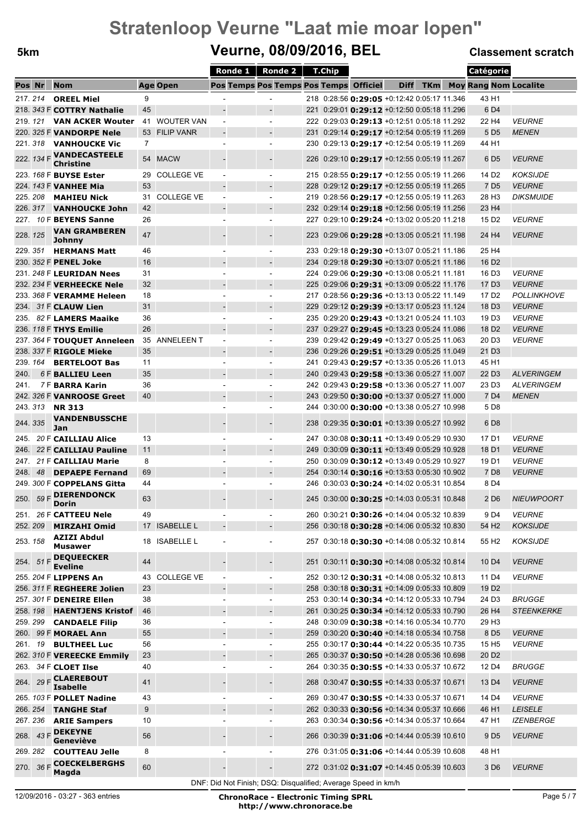### **5km Veurne, 08/09/2016, BEL Classement scratch**

|         |         |                                    |     |                   | Ronde $1 \parallel$      | Ronde 2                                | T.Chip                                                                                     |  |             | Catégorie  |  |                                      |                      |
|---------|---------|------------------------------------|-----|-------------------|--------------------------|----------------------------------------|--------------------------------------------------------------------------------------------|--|-------------|------------|--|--------------------------------------|----------------------|
| Pos Nr  |         | <b>Nom</b>                         |     | <b>Age Open</b>   |                          | Pos Temps Pos Temps Pos Temps Officiel |                                                                                            |  | <b>Diff</b> | <b>TKm</b> |  | <b>Moy Rang Nom Localite</b>         |                      |
|         | 217.214 | <b>OREEL Miel</b>                  | 9   |                   |                          |                                        | 218 0:28:56 0:29:05 +0:12:42 0:05:17 11.346                                                |  |             |            |  | 43 H1                                |                      |
|         |         | 218. 343 F COTTRY Nathalie         | 45  |                   |                          |                                        | 221 0:29:01 <b>0:29:12</b> +0:12:50 0:05:18 11.296                                         |  |             |            |  | 6 D <sub>4</sub>                     |                      |
|         |         | 219. 121 <b>VAN ACKER Wouter</b>   | 41  | <b>WOUTER VAN</b> | $\overline{a}$           | $\sim$                                 | 222 0:29:03 0:29:13 +0:12:51 0:05:18 11.292                                                |  |             |            |  | 22 H4                                | <b>VEURNE</b>        |
|         |         | 220. 325 F VANDORPE Nele           | 53  | <b>FILIP VANR</b> |                          |                                        | 231 0:29:14 0:29:17 +0:12:54 0:05:19 11.269                                                |  |             |            |  | 5 D <sub>5</sub>                     | <b>MENEN</b>         |
|         |         | 221. 318 <b>VANHOUCKE Vic</b>      | 7   |                   |                          | $\overline{\phantom{a}}$               | 230 0:29:13 <b>0:29:17</b> +0:12:54 0:05:19 11.269                                         |  |             |            |  | 44 H1                                |                      |
|         |         | 222. 134 F VANDECASTEELE           |     |                   |                          |                                        |                                                                                            |  |             |            |  |                                      |                      |
|         |         | <b>Christine</b>                   |     | 54 MACW           |                          |                                        | 226 0:29:10 <b>0:29:17</b> +0:12:55 0:05:19 11.267                                         |  |             |            |  | 6 D5                                 | <b>VEURNE</b>        |
|         |         | 223. 168 F BUYSE Ester             | 29  | <b>COLLEGE VE</b> |                          |                                        | 215 0:28:55 0:29:17 +0:12:55 0:05:19 11.266                                                |  |             |            |  | 14 D <sub>2</sub>                    | <b>KOKSIJDE</b>      |
|         |         | 224. 143 F <b>VANHEE Mia</b>       | 53  |                   |                          |                                        | 228 0:29:12 0:29:17 +0:12:55 0:05:19 11.265                                                |  |             |            |  | 7 D <sub>5</sub>                     | <b>VEURNE</b>        |
|         |         | 225. 208 <b>MAHIEU Nick</b>        | 31. | <b>COLLEGE VE</b> | $\sim$                   |                                        | 219 0:28:56 0:29:17 +0:12:55 0:05:19 11.263                                                |  |             |            |  | 28 H <sub>3</sub>                    | <b>DIKSMUIDE</b>     |
|         |         | 226. 317 VANHOUCKE John            | 42  |                   |                          |                                        | 232 0:29:14 <b>0:29:18</b> +0:12:56 0:05:19 11.256                                         |  |             |            |  | 23 H4                                |                      |
|         |         | 227. 10 F <b>BEYENS Sanne</b>      | 26  |                   |                          |                                        | 227 0:29:10 0:29:24 +0:13:02 0:05:20 11.218                                                |  |             |            |  | 15 D <sub>2</sub>                    | <b>VEURNE</b>        |
| 228.125 |         | <b>VAN GRAMBEREN</b>               | 47  |                   |                          |                                        | 223 0:29:06 0:29:28 +0:13:05 0:05:21 11.198                                                |  |             |            |  | 24 H4                                | <b>VEURNE</b>        |
|         |         | Johnny                             |     |                   |                          |                                        |                                                                                            |  |             |            |  |                                      |                      |
|         | 229.351 | <b>HERMANS Matt</b>                | 46  |                   |                          | $\sim$                                 | 233 0:29:18 0:29:30 +0:13:07 0:05:21 11.186                                                |  |             |            |  | 25 H4                                |                      |
|         |         | 230. 352 F PENEL Joke              | 16  |                   |                          |                                        | 234 0:29:18 <b>0:29:30</b> +0:13:07 0:05:21 11.186                                         |  |             |            |  | 16 D <sub>2</sub>                    |                      |
|         |         | 231. 248 F LEURIDAN Nees           | 31  |                   |                          |                                        | 224 0:29:06 0:29:30 +0:13:08 0:05:21 11.181                                                |  |             |            |  | 16 D <sub>3</sub>                    | <b>VEURNE</b>        |
|         |         | 232. 234 F VERHEECKE Nele          | 32  |                   |                          |                                        | 225 0:29:06 0:29:31 +0:13:09 0:05:22 11.176                                                |  |             |            |  | 17 D <sub>3</sub>                    | <b>VEURNE</b>        |
|         |         | 233. 368 F VERAMME Heleen          | 18  |                   |                          | $\overline{\phantom{a}}$               | 217 0:28:56 0:29:36 +0:13:13 0:05:22 11.149                                                |  |             |            |  | 17 D <sub>2</sub>                    | <b>POLLINKHOVE</b>   |
|         |         | 234. 31 F CLAUW Lien               | 31  |                   |                          |                                        | 229 0:29:12 0:29:39 +0:13:17 0:05:23 11.124                                                |  |             |            |  | 18 D <sub>3</sub>                    | <b>VEURNE</b>        |
|         |         | 235. 82 F LAMERS Maaike            | 36  |                   |                          | $\blacksquare$                         | 235 0:29:20 0:29:43 +0:13:21 0:05:24 11.103                                                |  |             |            |  | 19 D <sub>3</sub>                    | <b>VEURNE</b>        |
|         |         | 236. 118 F THYS Emilie             | 26  |                   |                          |                                        | 237 0:29:27 0:29:45 +0:13:23 0:05:24 11.086                                                |  |             |            |  | 18 D <sub>2</sub>                    | <b>VEURNE</b>        |
|         |         | 237. 364 F TOUQUET Anneleen        | 35  | <b>ANNELEEN T</b> |                          |                                        | 239 0:29:42 0:29:49 +0:13:27 0:05:25 11.063                                                |  |             |            |  | 20 D <sub>3</sub>                    | <b>VEURNE</b>        |
|         |         | 238. 337 F RIGOLE Mieke            | 35  |                   |                          | $\overline{\phantom{a}}$               | 236 0:29:26 0:29:51 +0:13:29 0:05:25 11.049                                                |  |             |            |  | 21 D <sub>3</sub>                    |                      |
|         |         | 239. 164 <b>BERTELOOT Bas</b>      | 11  |                   |                          | $\blacksquare$                         | 241 0:29:43 0:29:57 +0:13:35 0:05:26 11.013                                                |  |             |            |  | 45 H1                                |                      |
| 240.    |         | 6 F BALLIEU Leen                   | 35  |                   |                          |                                        | 240 0:29:43 0:29:58 +0:13:36 0:05:27 11.007                                                |  |             |            |  | 22 D <sub>3</sub>                    | <b>ALVERINGEM</b>    |
| 241.    |         | <b>7F BARRA Karin</b>              | 36  |                   |                          |                                        | 242 0:29:43 0:29:58 +0:13:36 0:05:27 11.007                                                |  |             |            |  | 23 D <sub>3</sub>                    | <b>ALVERINGEM</b>    |
|         |         | 242. 326 F <b>VANROOSE Greet</b>   | 40  |                   |                          |                                        | 243 0:29:50 <b>0:30:00</b> +0:13:37 0:05:27 11.000                                         |  |             |            |  | 7 D <sub>4</sub>                     | <b>MENEN</b>         |
|         |         | 243.313 <b>NR 313</b>              |     |                   |                          | $\sim$                                 | 244 0:30:00 <b>0:30:00</b> +0:13:38 0:05:27 10.998                                         |  |             |            |  | 5 D <sub>8</sub>                     |                      |
| 244.335 |         | <b>VANDENBUSSCHE</b>               |     |                   |                          |                                        | 238 0:29:35 0:30:01 +0:13:39 0:05:27 10.992                                                |  |             |            |  | 6 D <sub>8</sub>                     |                      |
|         |         | Jan                                |     |                   |                          |                                        |                                                                                            |  |             |            |  |                                      |                      |
|         |         | 245. 20 F CAILLIAU Alice           | 13  |                   |                          |                                        | 247 0:30:08 <b>0:30:11</b> +0:13:49 0:05:29 10.930                                         |  |             |            |  | 17 D1                                | <b>VEURNE</b>        |
| 246.    |         | 22 F CAILLIAU Pauline              | 11  |                   |                          |                                        | 249 0:30:09 0:30:11 +0:13:49 0:05:29 10.928                                                |  |             |            |  | 18 D1                                | <b>VEURNE</b>        |
| 247.    |         | 21 F CAILLIAU Marie                | 8   |                   |                          |                                        | 250 0:30:09 <b>0:30:12</b> +0:13:49 0:05:29 10.927                                         |  |             |            |  | 19 D1                                | <b>VEURNE</b>        |
| 248.    |         | 48 DEPAEPE Fernand                 | 69  |                   |                          |                                        | 254 0:30:14 0:30:16 +0:13:53 0:05:30 10.902<br>246 0:30:03 0:30:24 +0:14:02 0:05:31 10.854 |  |             |            |  | 7 D <sub>8</sub><br>8 D <sub>4</sub> | <b>VEURNE</b>        |
|         |         | 249. 300 F COPPELANS Gitta         | 44  |                   |                          |                                        |                                                                                            |  |             |            |  |                                      |                      |
|         |         | 250. 59 F DIERENDONCK<br>Dorin     | 63  |                   |                          |                                        | 245 0:30:00 <b>0:30:25</b> +0:14:03 0:05:31 10.848                                         |  |             |            |  | 2 D <sub>6</sub>                     | <b>NIEUWPOORT</b>    |
|         |         | 251. 26 F CATTEEU Nele             | 49  |                   |                          |                                        | 260 0:30:21 <b>0:30:26</b> +0:14:04 0:05:32 10.839                                         |  |             |            |  | 9 D4                                 | <b>VEURNE</b>        |
|         | 252.209 | <b>MIRZAHI Omid</b>                |     | 17 ISABELLE L     |                          |                                        | 256 0:30:18 0:30:28 +0:14:06 0:05:32 10.830                                                |  |             |            |  | 54 H <sub>2</sub>                    | <b>KOKSIJDE</b>      |
|         |         | <b>AZIZI Abdul</b>                 |     |                   |                          |                                        |                                                                                            |  |             |            |  |                                      |                      |
|         | 253.158 | Musawer                            |     | 18 ISABELLE L     |                          |                                        | 257 0:30:18 <b>0:30:30</b> +0:14:08 0:05:32 10.814                                         |  |             |            |  | 55 H <sub>2</sub>                    | <b>KOKSIJDE</b>      |
| 254.    |         | $51 F$ DEQUEECKER                  | 44  |                   |                          |                                        | 251 0:30:11 <b>0:30:30</b> +0:14:08 0:05:32 10.814                                         |  |             |            |  | 10 D <sub>4</sub>                    | <b>VEURNE</b>        |
|         |         | <b>Eveline</b>                     |     |                   |                          |                                        |                                                                                            |  |             |            |  |                                      |                      |
|         |         | 255. 204 F LIPPENS An              |     | 43 COLLEGE VE     | $\overline{\phantom{a}}$ | $\overline{\phantom{a}}$               | 252 0:30:12 <b>0:30:31</b> +0:14:08 0:05:32 10.813                                         |  |             |            |  | 11 D4                                | <b>VEURNE</b>        |
|         |         | 256. 311 F REGHEERE Jolien         | 23  |                   |                          |                                        | 258 0:30:18 0:30:31 +0:14:09 0:05:33 10.809                                                |  |             |            |  | 19 D <sub>2</sub>                    |                      |
|         |         | 257. 301 F DENEIRE Ellen           | 38  |                   | $\overline{\phantom{a}}$ | $\overline{\phantom{a}}$               | 253 0:30:14 0:30:34 +0:14:12 0:05:33 10.794                                                |  |             |            |  | 24 D <sub>3</sub>                    | <b>BRUGGE</b>        |
|         |         | 258. 198 HAENTJENS Kristof         | 46  |                   |                          |                                        | 261 0:30:25 <b>0:30:34</b> +0:14:12 0:05:33 10.790                                         |  |             |            |  | 26 H <sub>4</sub>                    | <b>STEENKERKE</b>    |
|         |         | 259. 299 CANDAELE Filip            | 36  |                   |                          | $\overline{\phantom{a}}$               | 248 0:30:09 <b>0:30:38</b> +0:14:16 0:05:34 10.770                                         |  |             |            |  | 29 H <sub>3</sub>                    |                      |
|         |         | 260. 99 F MORAEL Ann               | 55  |                   |                          | $\overline{\phantom{m}}$               | 259 0:30:20 0:30:40 +0:14:18 0:05:34 10.758                                                |  |             |            |  | 8 D <sub>5</sub>                     | <b>VEURNE</b>        |
|         |         | 261. 19 <b>BULTHEEL Luc</b>        | 56  |                   |                          | $\overline{\phantom{a}}$               | 255 0:30:17 0:30:44 +0:14:22 0:05:35 10.735                                                |  |             |            |  | 15 H <sub>5</sub>                    | <i><b>VEURNE</b></i> |
|         |         | 262. 310 F VEREECKE Emmily         | 23  |                   |                          | $\blacksquare$                         | 265 0:30:37 0:30:50 +0:14:28 0:05:36 10.698                                                |  |             |            |  | 20 D <sub>2</sub>                    |                      |
|         |         | 263. 34 F CLOET IIse               | 40  |                   | $\blacksquare$           | $\overline{\phantom{a}}$               | 264 0:30:35 0:30:55 +0:14:33 0:05:37 10.672                                                |  |             |            |  | 12 D4                                | <i>BRUGGE</i>        |
| 264.    |         | 29 F CLAEREBOUT<br><b>Isabelle</b> | 41  |                   |                          |                                        | 268 0:30:47 0:30:55 +0:14:33 0:05:37 10.671                                                |  |             |            |  | 13 D <sub>4</sub>                    | <b>VEURNE</b>        |
|         |         | 265. 103 F POLLET Nadine           | 43  |                   |                          |                                        | 269 0:30:47 0:30:55 +0:14:33 0:05:37 10.671                                                |  |             |            |  | 14 D4                                | <b>VEURNE</b>        |
|         |         | 266. 254 <b>TANGHE Staf</b>        | 9   |                   |                          | $\overline{a}$                         | 262 0:30:33 0:30:56 +0:14:34 0:05:37 10.666                                                |  |             |            |  | 46 H1                                | <b>LEISELE</b>       |
|         |         | 267. 236 <b>ARIE Sampers</b>       | 10  |                   | ÷,                       | $\overline{\phantom{a}}$               | 263 0:30:34 0:30:56 +0:14:34 0:05:37 10.664                                                |  |             |            |  | 47 H1                                | <b>IZENBERGE</b>     |
|         |         | <b>DEKEYNE</b>                     |     |                   |                          |                                        |                                                                                            |  |             |            |  |                                      |                      |
| 268.    | 43 F    | Geneviève                          | 56  |                   |                          | $\overline{\phantom{a}}$               | 266 0:30:39 0:31:06 +0:14:44 0:05:39 10.610                                                |  |             |            |  | 9 D <sub>5</sub>                     | <b>VEURNE</b>        |
|         |         | 269. 282 <b>COUTTEAU Jelle</b>     | 8   |                   |                          |                                        | 276 0:31:05 0:31:06 +0:14:44 0:05:39 10.608                                                |  |             |            |  | 48 H1                                |                      |
|         |         | 270. 36 F COECKELBERGHS            | 60  |                   |                          |                                        | 272 0:31:02 0:31:07 +0:14:45 0:05:39 10.603                                                |  |             |            |  | 3 D <sub>6</sub>                     | <b>VEURNE</b>        |
|         |         | Magda                              |     |                   |                          |                                        |                                                                                            |  |             |            |  |                                      |                      |

DNF: Did Not Finish; DSQ: Disqualified; Average Speed in km/h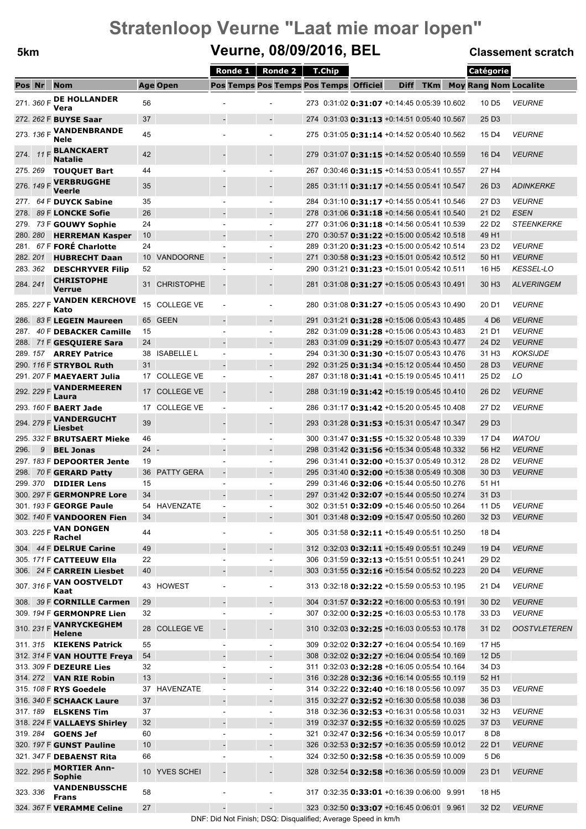### **5km Veurne, 08/09/2016, BEL Classement scratch**

|          |            |                                          |                              | Ronde $1 \parallel$      | Ronde 2                  | <b>T.Chip</b>                                      |             |            | Catégorie                    |                      |
|----------|------------|------------------------------------------|------------------------------|--------------------------|--------------------------|----------------------------------------------------|-------------|------------|------------------------------|----------------------|
| Pos Nr   |            | <b>Nom</b>                               | <b>Age Open</b>              |                          |                          | Pos Temps Pos Temps Pos Temps Officiel             | <b>Diff</b> | <b>TKm</b> | <b>Moy Rang Nom Localite</b> |                      |
|          | 271. 360 F | <b>DE HOLLANDER</b>                      | 56                           |                          |                          | 273 0:31:02 0:31:07 +0:14:45 0:05:39 10.602        |             |            | 10 D <sub>5</sub>            | <b>VEURNE</b>        |
|          |            | Vera                                     |                              |                          |                          |                                                    |             |            |                              |                      |
|          |            | 272. 262 F BUYSE Saar                    | 37                           |                          | $\overline{\phantom{a}}$ | 274 0:31:03 0:31:13 +0:14:51 0:05:40 10.567        |             |            | 25 D <sub>3</sub>            |                      |
|          |            | 273. 136 F VANDENBRANDE<br>Nele          | 45                           |                          |                          | 275 0:31:05 0:31:14 +0:14:52 0:05:40 10.562        |             |            | 15 D4                        | <b>VEURNE</b>        |
| 274.     |            | 11 F BLANCKAERT<br><b>Natalie</b>        | 42                           |                          |                          | 279 0:31:07 0:31:15 +0:14:52 0:05:40 10.559        |             |            | 16 D <sub>4</sub>            | <b>VEURNE</b>        |
|          |            | 275. 269 TOUQUET Bart                    | 44                           |                          |                          | 267 0:30:46 0:31:15 +0:14:53 0:05:41 10.557        |             |            | 27 H4                        |                      |
|          |            | 276. 149 F VERBRUGGHE<br>Veerle          | 35                           |                          |                          | 285 0:31:11 <b>0:31:17</b> +0:14:55 0:05:41 10.547 |             |            | 26 D <sub>3</sub>            | <i>ADINKERKE</i>     |
|          |            | 277. 64 F DUYCK Sabine                   | 35                           |                          |                          | 284 0:31:10 <b>0:31:17</b> +0:14:55 0:05:41 10.546 |             |            | 27 D3                        | <b>VEURNE</b>        |
| 278.     |            | 89 F LONCKE Sofie                        | 26                           |                          |                          | 278 0:31:06 <b>0:31:18</b> +0:14:56 0:05:41 10.540 |             |            | 21 D <sub>2</sub>            | <b>ESEN</b>          |
|          |            | 279. 73 F GOUWY Sophie                   | 24                           | $\blacksquare$           | $\sim$                   | 277 0:31:06 <b>0:31:18</b> +0:14:56 0:05:41 10.539 |             |            | 22 D <sub>2</sub>            | <b>STEENKERKE</b>    |
|          |            | 280. 280 HERREMAN Kasper                 | 10                           |                          |                          | 270 0:30:57 0:31:22 +0:15:00 0:05:42 10.518        |             |            | 49 H1                        |                      |
| 281.     |            | 67 F FORE Charlotte                      | 24                           |                          |                          | 289 0:31:20 <b>0:31:23</b> +0:15:00 0:05:42 10.514 |             |            | 23 D <sub>2</sub>            | <b>VEURNE</b>        |
| 282. 201 |            | <b>HUBRECHT Daan</b>                     | 10 <sup>1</sup><br>VANDOORNE |                          |                          | 271 0:30:58 0:31:23 +0:15:01 0:05:42 10.512        |             |            | 50 H <sub>1</sub>            | <b>VEURNE</b>        |
| 283.362  |            | <b>DESCHRYVER Filip</b>                  | 52                           |                          |                          | 290 0:31:21 0:31:23 +0:15:01 0:05:42 10.511        |             |            | 16 H <sub>5</sub>            | <b>KESSEL-LO</b>     |
| 284.241  |            | <b>CHRISTOPHE</b><br><b>Verrue</b>       | 31 CHRISTOPHE                |                          |                          | 281 0:31:08 0:31:27 +0:15:05 0:05:43 10.491        |             |            | 30 H <sub>3</sub>            | <b>ALVERINGEM</b>    |
|          | 285. 227 F | <b>VANDEN KERCHOVE</b><br>Kato           | 15<br><b>COLLEGE VE</b>      |                          |                          | 280 0:31:08 0:31:27 +0:15:05 0:05:43 10.490        |             |            | 20 D1                        | <b>VEURNE</b>        |
|          |            | 286. 83 F LEGEIN Maureen                 | <b>GEEN</b><br>65            | $\overline{\phantom{a}}$ | $\overline{\phantom{a}}$ | 291 0:31:21 0:31:28 +0:15:06 0:05:43 10.485        |             |            | 4 D <sub>6</sub>             | <b>VEURNE</b>        |
|          |            | 287. 40 F DEBACKER Camille               | 15                           |                          |                          | 282 0:31:09 <b>0:31:28</b> +0:15:06 0:05:43 10.483 |             |            | 21 D1                        | <b>VEURNE</b>        |
|          |            | 288. 71 F GESQUIERE Sara                 | 24                           |                          |                          | 283 0:31:09 0:31:29 +0:15:07 0:05:43 10.477        |             |            | 24 D <sub>2</sub>            | <b>VEURNE</b>        |
|          |            | 289. 157 ARREY Patrice                   | 38 ISABELLE L                | $\sim$                   | $\sim$                   | 294 0:31:30 <b>0:31:30</b> +0:15:07 0:05:43 10.476 |             |            | 31 H <sub>3</sub>            | <b>KOKSIJDE</b>      |
|          |            | 290. 116 F STRYBOL Ruth                  | 31                           |                          |                          | 292 0:31:25 0:31:34 +0:15:12 0:05:44 10.450        |             |            | 28 D <sub>3</sub>            | <b>VEURNE</b>        |
|          |            | 291. 207 F MAEYAERT Julia                | 17 COLLEGE VE                | $\overline{\phantom{a}}$ |                          | 287 0:31:18 <b>0:31:41</b> +0:15:19 0:05:45 10.411 |             |            | 25 D <sub>2</sub>            | LO                   |
|          |            | 292. 229 F VANDERMEEREN<br>Laura         | <b>COLLEGE VE</b><br>17      |                          |                          | 288 0:31:19 0:31:42 +0:15:19 0:05:45 10.410        |             |            | 26 D <sub>2</sub>            | <b>VEURNE</b>        |
|          |            | 293. 160 F <b>BAERT Jade</b>             | 17 COLLEGE VE                | $\blacksquare$           |                          | 286 0:31:17 0:31:42 +0:15:20 0:05:45 10.408        |             |            | 27 D2                        | <b>VEURNE</b>        |
|          |            | 294. 279 F VANDERGUCHT<br>Liesbet        | 39                           |                          |                          | 293 0:31:28 0:31:53 +0:15:31 0:05:47 10.347        |             |            | 29 D <sub>3</sub>            |                      |
|          |            | 295. 332 F BRUTSAERT Mieke               | 46                           |                          |                          | 300 0:31:47 0:31:55 +0:15:32 0:05:48 10.339        |             |            | 17 D <sub>4</sub>            | <b>WATOU</b>         |
| 296.     |            | 9 BEL Jonas                              | 24                           |                          |                          | 298 0:31:42 0:31:56 +0:15:34 0:05:48 10.332        |             |            | 56 H <sub>2</sub>            | <b>VEURNE</b>        |
|          |            | 297. 183 F DEPOORTER Jente               | 19                           |                          |                          | 296 0:31:41 0:32:00 +0:15:37 0:05:49 10.312        |             |            | 28 D <sub>2</sub>            | <b>VEURNE</b>        |
|          |            | 298. 70 F GERARD Patty                   | 36 PATTY GERA                | $\sim$                   |                          | 295 0:31:40 0:32:00 +0:15:38 0:05:49 10.308        |             |            | 30 D <sub>3</sub>            | <b>VEURNE</b>        |
|          |            | 299. 370 <b>DIDIER Lens</b>              | 15                           | L.                       | $\overline{\phantom{a}}$ | 299 0:31:46 0:32:06 +0:15:44 0:05:50 10.276        |             |            | 51 H <sub>1</sub>            |                      |
|          |            | 300. 297 F GERMONPRE Lore                | 34                           |                          |                          | 297 0:31:42 0:32:07 +0:15:44 0:05:50 10.274        |             |            | 31 D <sub>3</sub>            |                      |
|          |            | 301. 193 F GEORGE Paule                  | 54 HAVENZATE                 |                          |                          | 302 0:31:51 0:32:09 +0:15:46 0:05:50 10.264        |             |            | 11 D <sub>5</sub>            | <i><b>VEURNE</b></i> |
|          |            | 302. 140 F VANDOOREN Fien                | 34                           |                          |                          | 301 0:31:48 0:32:09 +0:15:47 0:05:50 10.260        |             |            | 32 D <sub>3</sub>            | <b>VEURNE</b>        |
|          |            | 303. 225 F VAN DONGEN<br>Rachel          | 44                           |                          |                          | 305 0:31:58 <b>0:32:11</b> +0:15:49 0:05:51 10.250 |             |            | 18 D4                        |                      |
|          |            | 304. 44 F DELRUE Carine                  | 49                           |                          | $\overline{\phantom{a}}$ | 312 0:32:03 0:32:11 +0:15:49 0:05:51 10.249        |             |            | 19 D <sub>4</sub>            | <b>VEURNE</b>        |
|          |            | 305. 171 F CATTEEUW Ella                 | 22                           |                          | $\overline{\phantom{a}}$ | 306 0:31:59 <b>0:32:13</b> +0:15:51 0:05:51 10.241 |             |            | 29 D <sub>2</sub>            |                      |
|          |            | 306. 24 F CARREIN Liesbet                | 40                           |                          |                          | 303 0:31:55 <b>0:32:16</b> +0:15:54 0:05:52 10.223 |             |            | 20 D <sub>4</sub>            | <b>VEURNE</b>        |
|          |            | 307. 316 F VAN OOSTVELDT<br>Kaat         | <b>HOWEST</b><br>43          |                          |                          | 313 0:32:18 0:32:22 +0:15:59 0:05:53 10.195        |             |            | 21 D4                        | <b>VEURNE</b>        |
|          |            | 308. 39 F CORNILLE Carmen                | 29                           |                          | $\overline{\phantom{a}}$ | 304 0:31:57 0:32:22 +0:16:00 0:05:53 10.191        |             |            | 30 D <sub>2</sub>            | <b>VEURNE</b>        |
|          |            | 309. 194 F GERMONPRE Lien                | 32                           | ÷,                       | $\overline{\phantom{a}}$ | 307 0:32:00 0:32:25 +0:16:03 0:05:53 10.178        |             |            | 33 D <sub>3</sub>            | <b>VEURNE</b>        |
|          |            | 310. 231 F VANRYCKEGHEM<br>Helene        | 28 COLLEGE VE                |                          |                          | 310 0:32:03 0:32:25 +0:16:03 0:05:53 10.178        |             |            | 31 D <sub>2</sub>            | <b>OOSTVLETEREN</b>  |
|          |            | 311. 315 <b>KIEKENS Patrick</b>          | 55                           | $\overline{\phantom{a}}$ | $\overline{\phantom{a}}$ | 309 0:32:02 0:32:27 +0:16:04 0:05:54 10.169        |             |            | 17 H <sub>5</sub>            |                      |
|          |            | 312. 314 F VAN HOUTTE Freya              | 54                           |                          |                          | 308 0:32:02 0:32:27 +0:16:04 0:05:54 10.169        |             |            | 12 D <sub>5</sub>            |                      |
|          |            | 313. 309 F DEZEURE Lies                  | 32                           | L.                       | $\overline{\phantom{a}}$ | 311 0:32:03 0:32:28 +0:16:05 0:05:54 10.164        |             |            | 34 D <sub>3</sub>            |                      |
|          |            | 314. 272 <b>VAN RIE Robin</b>            | 13                           |                          | $\overline{\phantom{a}}$ | 316 0:32:28 <b>0:32:36</b> +0:16:14 0:05:55 10.119 |             |            | 52 H1                        |                      |
|          |            | 315. 108 F RYS Goedele                   | 37 HAVENZATE                 | $\overline{\phantom{a}}$ | $\overline{\phantom{a}}$ | 314 0:32:22 0:32:40 +0:16:18 0:05:56 10.097        |             |            | 35 D <sub>3</sub>            | <i><b>VEURNE</b></i> |
|          |            | 316. 340 F SCHAACK Laure                 | 37                           |                          |                          | 315 0:32:27 0:32:52 +0:16:30 0:05:58 10.038        |             |            | 36 D <sub>3</sub>            |                      |
|          |            | 317. 189 <b>ELSKENS Tim</b>              | 37                           | ٠                        | $\blacksquare$           | 318 0:32:36 0:32:53 +0:16:31 0:05:58 10.031        |             |            | 32 H <sub>3</sub>            | <b>VEURNE</b>        |
|          |            | 318. 224 F VALLAEYS Shirley              | 32                           |                          | $\overline{\phantom{a}}$ | 319 0:32:37 0:32:55 +0:16:32 0:05:59 10.025        |             |            | 37 D <sub>3</sub>            | <b>VEURNE</b>        |
|          |            | 319. 284 <b>GOENS Jef</b>                | 60                           |                          | $\overline{\phantom{a}}$ | 321 0:32:47 0:32:56 +0:16:34 0:05:59 10.017        |             |            | 8 D <sub>8</sub>             |                      |
|          |            | 320. 197 F GUNST Pauline                 | 10                           |                          |                          | 326 0:32:53 0:32:57 +0:16:35 0:05:59 10.012        |             |            | 22 D1                        | <b>VEURNE</b>        |
|          |            | 321. 347 F DEBAENST Rita                 | 66                           |                          |                          | 324 0:32:50 0:32:58 +0:16:35 0:05:59 10.009        |             |            | 5 D <sub>6</sub>             |                      |
|          |            | 322. 295 F <b>MORTIER Ann-</b><br>Sophie | 10 YVES SCHEI                |                          |                          | 328 0:32:54 0:32:58 +0:16:36 0:05:59 10.009        |             |            | 23 D1                        | <b>VEURNE</b>        |
| 323.336  |            | <b>VANDENBUSSCHE</b><br><b>Frans</b>     | 58                           |                          |                          | 317 0:32:35 0:33:01 +0:16:39 0:06:00 9.991         |             |            | 18 H <sub>5</sub>            |                      |
|          |            | 324. 367 F VERAMME Celine                | 27                           |                          | $\overline{\phantom{a}}$ | 323 0:32:50 0:33:07 +0:16:45 0:06:01 9.961         |             |            | 32 D <sub>2</sub>            | <b>VEURNE</b>        |

DNF: Did Not Finish; DSQ: Disqualified; Average Speed in km/h